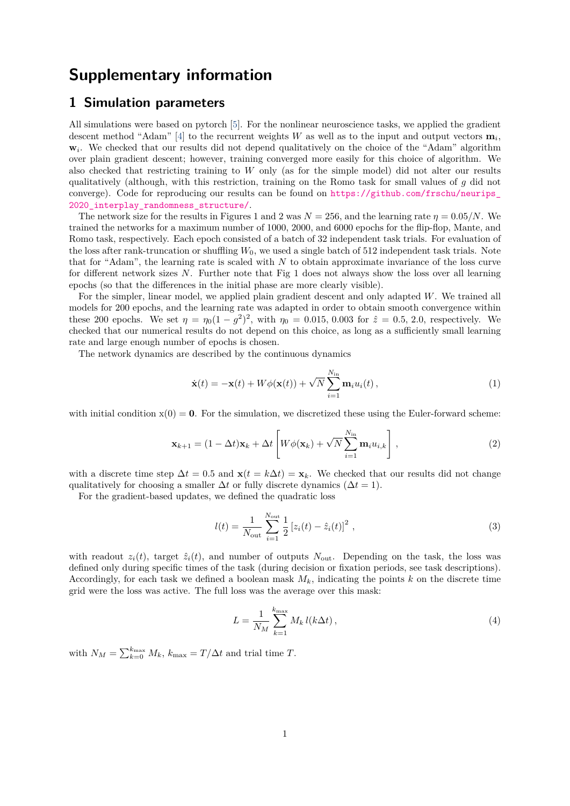# **Supplementary information**

### **1 Simulation parameters**

All simulations were based on pytorch [\[5\]](#page-21-0). For the nonlinear neuroscience tasks, we applied the gradient descent method "Adam" [\[4\]](#page-21-1) to the recurrent weights *W* as well as to the input and output vectors  $\mathbf{m}_i$ , **w***<sup>i</sup>* . We checked that our results did not depend qualitatively on the choice of the "Adam" algorithm over plain gradient descent; however, training converged more easily for this choice of algorithm. We also checked that restricting training to *W* only (as for the simple model) did not alter our results qualitatively (although, with this restriction, training on the Romo task for small values of *g* did not converge). Code for reproducing our results can be found on [https://github.com/frschu/neurips\\_](https://github.com/frschu/neurips_2020_interplay_randomness_structure/) 2020 interplay randomness structure/.

The network size for the results in Figures 1 and 2 was  $N = 256$ , and the learning rate  $\eta = 0.05/N$ . We trained the networks for a maximum number of 1000, 2000, and 6000 epochs for the flip-flop, Mante, and Romo task, respectively. Each epoch consisted of a batch of 32 independent task trials. For evaluation of the loss after rank-truncation or shuffling *W*0, we used a single batch of 512 independent task trials. Note that for "Adam", the learning rate is scaled with *N* to obtain approximate invariance of the loss curve for different network sizes *N*. Further note that Fig 1 does not always show the loss over all learning epochs (so that the differences in the initial phase are more clearly visible).

For the simpler, linear model, we applied plain gradient descent and only adapted *W*. We trained all models for 200 epochs, and the learning rate was adapted in order to obtain smooth convergence within these 200 epochs. We set  $\eta = \eta_0 (1 - g^2)^2$ , with  $\eta_0 = 0.015, 0.003$  for  $\hat{z} = 0.5, 2.0$ , respectively. We checked that our numerical results do not depend on this choice, as long as a sufficiently small learning rate and large enough number of epochs is chosen.

The network dynamics are described by the continuous dynamics

$$
\dot{\mathbf{x}}(t) = -\mathbf{x}(t) + W\phi(\mathbf{x}(t)) + \sqrt{N} \sum_{i=1}^{N_{\text{in}}} \mathbf{m}_i u_i(t), \qquad (1)
$$

with initial condition  $x(0) = 0$ . For the simulation, we discretized these using the Euler-forward scheme:

$$
\mathbf{x}_{k+1} = (1 - \Delta t)\mathbf{x}_k + \Delta t \left[ W\phi(\mathbf{x}_k) + \sqrt{N} \sum_{i=1}^{N_{\text{in}}} \mathbf{m}_i u_{i,k} \right],
$$
\n(2)

with a discrete time step  $\Delta t = 0.5$  and  $\mathbf{x}(t = k\Delta t) = \mathbf{x}_k$ . We checked that our results did not change qualitatively for choosing a smaller  $\Delta t$  or fully discrete dynamics ( $\Delta t = 1$ ).

For the gradient-based updates, we defined the quadratic loss

$$
l(t) = \frac{1}{N_{\text{out}}} \sum_{i=1}^{N_{\text{out}}} \frac{1}{2} \left[ z_i(t) - \hat{z}_i(t) \right]^2 , \qquad (3)
$$

with readout  $z_i(t)$ , target  $\hat{z}_i(t)$ , and number of outputs  $N_{\text{out}}$ . Depending on the task, the loss was defined only during specific times of the task (during decision or fixation periods, see task descriptions). Accordingly, for each task we defined a boolean mask *Mk*, indicating the points *k* on the discrete time grid were the loss was active. The full loss was the average over this mask:

$$
L = \frac{1}{N_M} \sum_{k=1}^{k_{\text{max}}} M_k \, l(k \Delta t) \,,\tag{4}
$$

with  $N_M = \sum_{k=0}^{k_{\text{max}}} M_k$ ,  $k_{\text{max}} = T/\Delta t$  and trial time *T*.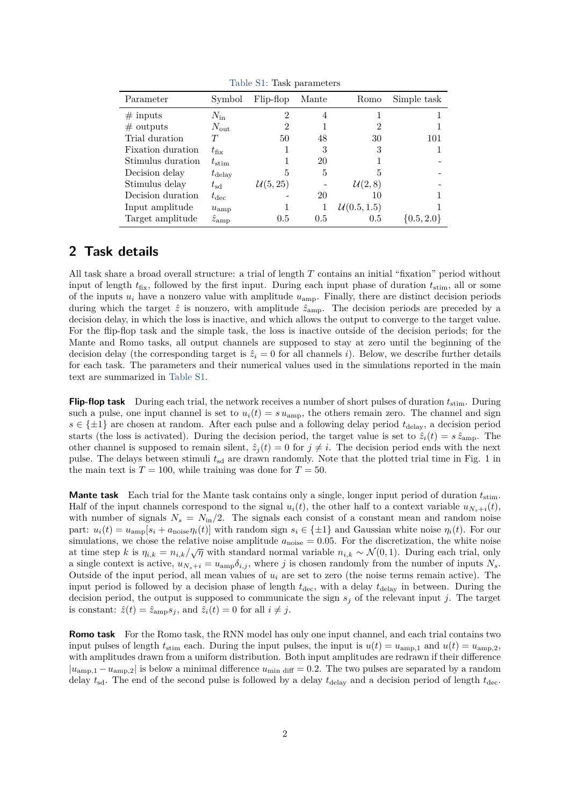<span id="page-1-0"></span>

| Parameter         | Symbol              | Flip-flop           | Mante | Romo               | Simple task    |
|-------------------|---------------------|---------------------|-------|--------------------|----------------|
| $\#$ inputs       | $N_{\rm in}$        | $\overline{2}$      | 4     |                    |                |
| $\#$ outputs      | $N_{\rm out}$       | 2                   |       | 2                  |                |
| Trial duration    |                     | 50                  | 48    | 30                 | 101            |
| Fixation duration | $t_{\rm fix}$       |                     | 3     | 3                  |                |
| Stimulus duration | $t_{\rm stim}$      |                     | 20    |                    |                |
| Decision delay    | $t_{\rm delay}$     | 5                   | 5     | 5                  |                |
| Stimulus delay    | $t_{\rm sd}$        | $\mathcal{U}(5,25)$ |       | $\mathcal{U}(2,8)$ |                |
| Decision duration | $t_{\rm dec}$       |                     | 20    | 10                 |                |
| Input amplitude   | $u_{\rm{amp}}$      |                     |       | U(0.5, 1.5)        |                |
| Target amplitude  | $\hat{z}_{\rm amp}$ | 0.5                 | 0.5   | 0.5                | $\{0.5, 2.0\}$ |

Table S1: Task parameters

## **2 Task details**

All task share a broad overall structure: a trial of length *T* contains an initial "fixation" period without input of length  $t_{fix}$ , followed by the first input. During each input phase of duration  $t_{stim}$ , all or some of the inputs  $u_i$  have a nonzero value with amplitude  $u_{amp}$ . Finally, there are distinct decision periods during which the target  $\hat{z}$  is nonzero, with amplitude  $\hat{z}_{\text{amp}}$ . The decision periods are preceded by a decision delay, in which the loss is inactive, and which allows the output to converge to the target value. For the flip-flop task and the simple task, the loss is inactive outside of the decision periods; for the Mante and Romo tasks, all output channels are supposed to stay at zero until the beginning of the decision delay (the corresponding target is  $\hat{z}_i = 0$  for all channels *i*). Below, we describe further details for each task. The parameters and their numerical values used in the simulations reported in the main text are summarized in [Table S1.](#page-1-0)

**Flip-flop task** During each trial, the network receives a number of short pulses of duration  $t_{\text{stim}}$ . During such a pulse, one input channel is set to  $u_i(t) = s u_{amp}$ , the others remain zero. The channel and sign  $s \in \{\pm 1\}$  are chosen at random. After each pulse and a following delay period  $t_{\text{delay}}$ , a decision period starts (the loss is activated). During the decision period, the target value is set to  $\hat{z}_i(t) = s \hat{z}_{\text{amp}}$ . The other channel is supposed to remain silent,  $\hat{z}_i(t) = 0$  for  $j \neq i$ . The decision period ends with the next pulse. The delays between stimuli  $t_{sd}$  are drawn randomly. Note that the plotted trial time in Fig. 1 in the main text is  $T = 100$ , while training was done for  $T = 50$ .

**Mante task** Each trial for the Mante task contains only a single, longer input period of duration *t*stim. Half of the input channels correspond to the signal  $u_i(t)$ , the other half to a context variable  $u_{N_s+i}(t)$ , with number of signals  $N_s = N_{\text{in}}/2$ . The signals each consist of a constant mean and random noise part:  $u_i(t) = u_{\text{amp}}[s_i + a_{\text{noise}}\eta_i(t)]$  with random sign  $s_i \in \{\pm 1\}$  and Gaussian white noise  $\eta_i(t)$ . For our simulations, we chose the relative noise amplitude  $a_{\text{noise}} = 0.05$ . For the discretization, the white noise at time step *k* is  $\eta_{i,k} = n_{i,k}/\sqrt{\eta}$  with standard normal variable  $n_{i,k} \sim \mathcal{N}(0,1)$ . During each trial, only a single context is active,  $u_{N_s+i} = u_{\text{amp}} \delta_{i,j}$ , where *j* is chosen randomly from the number of inputs  $N_s$ . Outside of the input period, all mean values of *u<sup>i</sup>* are set to zero (the noise terms remain active). The input period is followed by a decision phase of length  $t_{\text{dec}}$ , with a delay  $t_{\text{delay}}$  in between. During the decision period, the output is supposed to communicate the sign *s<sup>j</sup>* of the relevant input *j*. The target is constant:  $\hat{z}(t) = \hat{z}_{\text{amp}} s_j$ , and  $\hat{z}_i(t) = 0$  for all  $i \neq j$ .

**Romo task** For the Romo task, the RNN model has only one input channel, and each trial contains two input pulses of length  $t_{\text{stim}}$  each. During the input pulses, the input is  $u(t) = u_{\text{amp},1}$  and  $u(t) = u_{\text{amp},2}$ , with amplitudes drawn from a uniform distribution. Both input amplitudes are redrawn if their difference  $|u_{amp,1} - u_{amp,2}|$  is below a minimal difference  $u_{min \text{ diff}} = 0.2$ . The two pulses are separated by a random delay  $t_{sd}$ . The end of the second pulse is followed by a delay  $t_{delay}$  and a decision period of length  $t_{dec}$ .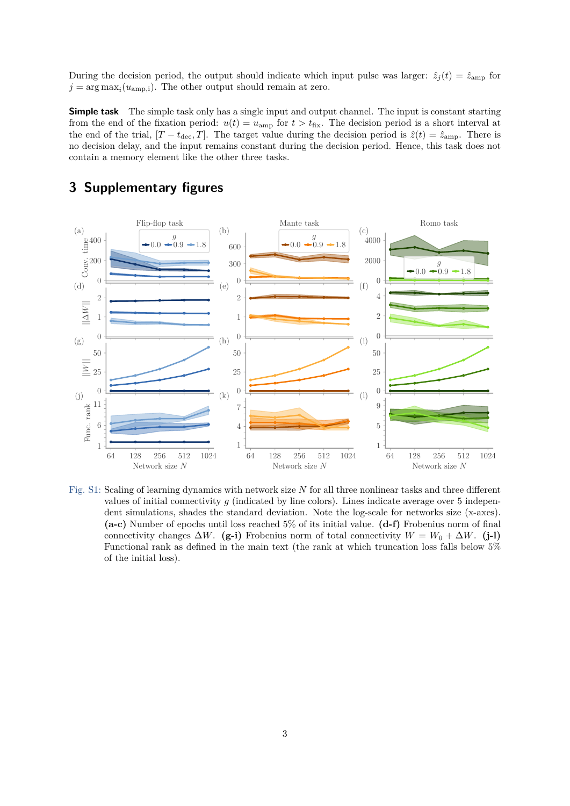During the decision period, the output should indicate which input pulse was larger:  $\hat{z}_j(t) = \hat{z}_{\text{amp}}$  for  $j = \arg \max_i (u_{amp,i})$ . The other output should remain at zero.

**Simple task** The simple task only has a single input and output channel. The input is constant starting from the end of the fixation period:  $u(t) = u_{\text{amp}}$  for  $t > t_{\text{fix}}$ . The decision period is a short interval at the end of the trial,  $[T - t_{\text{dec}}, T]$ . The target value during the decision period is  $\hat{z}(t) = \hat{z}_{\text{amp}}$ . There is no decision delay, and the input remains constant during the decision period. Hence, this task does not contain a memory element like the other three tasks.



# **3 Supplementary figures**

Fig. S1: Scaling of learning dynamics with network size *N* for all three nonlinear tasks and three different values of initial connectivity  $g$  (indicated by line colors). Lines indicate average over 5 independent simulations, shades the standard deviation. Note the log-scale for networks size (x-axes). **(a-c)** Number of epochs until loss reached 5% of its initial value. **(d-f)** Frobenius norm of final connectivity changes  $\Delta W$ . **(g-i)** Frobenius norm of total connectivity  $W = W_0 + \Delta W$ . **(j-l)** Functional rank as defined in the main text (the rank at which truncation loss falls below 5% of the initial loss).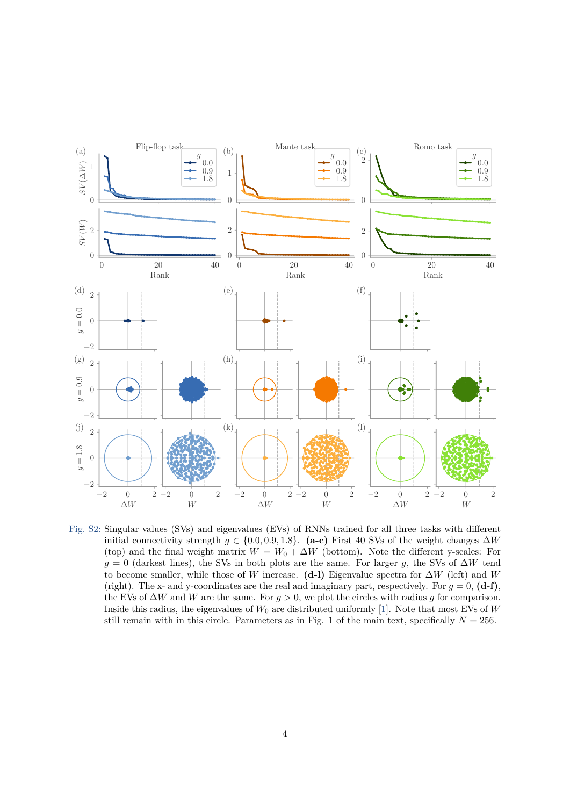

Fig. S2: Singular values (SVs) and eigenvalues (EVs) of RNNs trained for all three tasks with different initial connectivity strength  $g \in \{0.0, 0.9, 1.8\}$ . (a-c) First 40 SVs of the weight changes  $\Delta W$ (top) and the final weight matrix  $W = W_0 + \Delta W$  (bottom). Note the different y-scales: For  $g = 0$  (darkest lines), the SVs in both plots are the same. For larger *g*, the SVs of  $\Delta W$  tend to become smaller, while those of *W* increase. **(d-l)** Eigenvalue spectra for ∆*W* (left) and *W* (right). The x- and y-coordinates are the real and imaginary part, respectively. For  $q = 0$ ,  $(d-f)$ , the EVs of ∆*W* and *W* are the same. For *g >* 0, we plot the circles with radius *g* for comparison. Inside this radius, the eigenvalues of  $W_0$  are distributed uniformly [\[1\]](#page-21-2). Note that most EVs of  $W$ still remain with in this circle. Parameters as in Fig. 1 of the main text, specifically  $N = 256$ .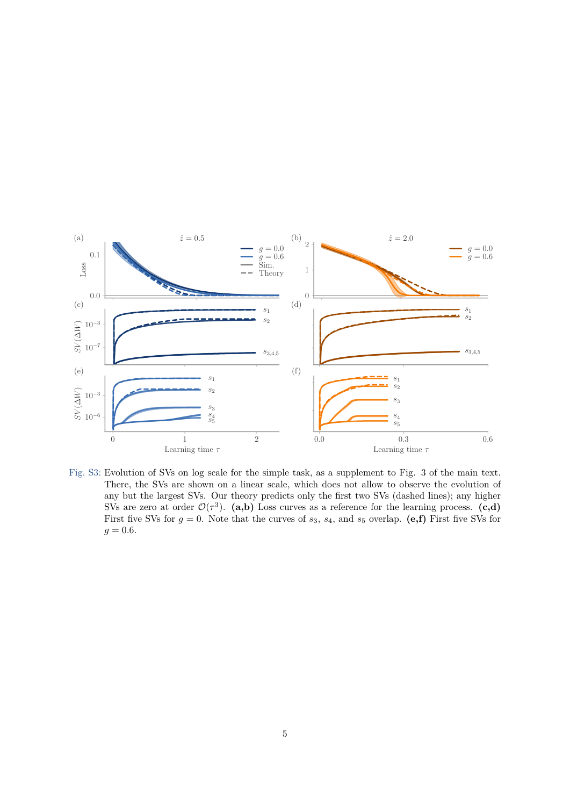

Fig. S3: Evolution of SVs on log scale for the simple task, as a supplement to Fig. 3 of the main text. There, the SVs are shown on a linear scale, which does not allow to observe the evolution of any but the largest SVs. Our theory predicts only the first two SVs (dashed lines); any higher SVs are zero at order  $\mathcal{O}(\tau^3)$ . (a,b) Loss curves as a reference for the learning process. (c,d) First five SVs for  $g = 0$ . Note that the curves of  $s_3$ ,  $s_4$ , and  $s_5$  overlap. (e,f) First five SVs for  $g = 0.6$ .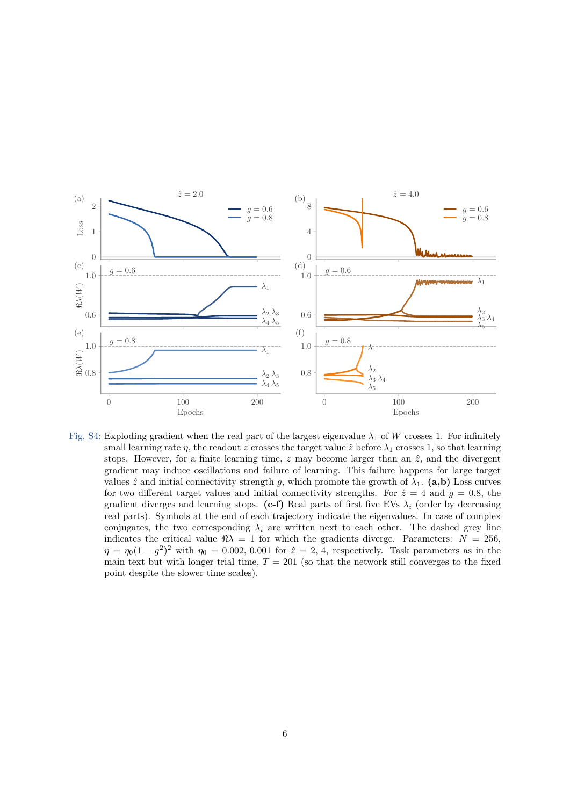

Fig. S4: Exploding gradient when the real part of the largest eigenvalue  $\lambda_1$  of *W* crosses 1. For infinitely small learning rate *η*, the readout *z* crosses the target value  $\hat{z}$  before  $\lambda_1$  crosses 1, so that learning stops. However, for a finite learning time,  $z$  may become larger than an  $\hat{z}$ , and the divergent gradient may induce oscillations and failure of learning. This failure happens for large target values  $\hat{z}$  and initial connectivity strength *g*, which promote the growth of  $\lambda_1$ . (a,b) Loss curves for two different target values and initial connectivity strengths. For  $\hat{z} = 4$  and  $g = 0.8$ , the gradient diverges and learning stops.  $(c-f)$  Real parts of first five EVs  $\lambda_i$  (order by decreasing real parts). Symbols at the end of each trajectory indicate the eigenvalues. In case of complex conjugates, the two corresponding  $\lambda_i$  are written next to each other. The dashed grey line indicates the critical value  $\Re \lambda = 1$  for which the gradients diverge. Parameters:  $N = 256$ ,  $\eta = \eta_0 (1 - g^2)^2$  with  $\eta_0 = 0.002, 0.001$  for  $\hat{z} = 2, 4$ , respectively. Task parameters as in the main text but with longer trial time,  $T = 201$  (so that the network still converges to the fixed point despite the slower time scales).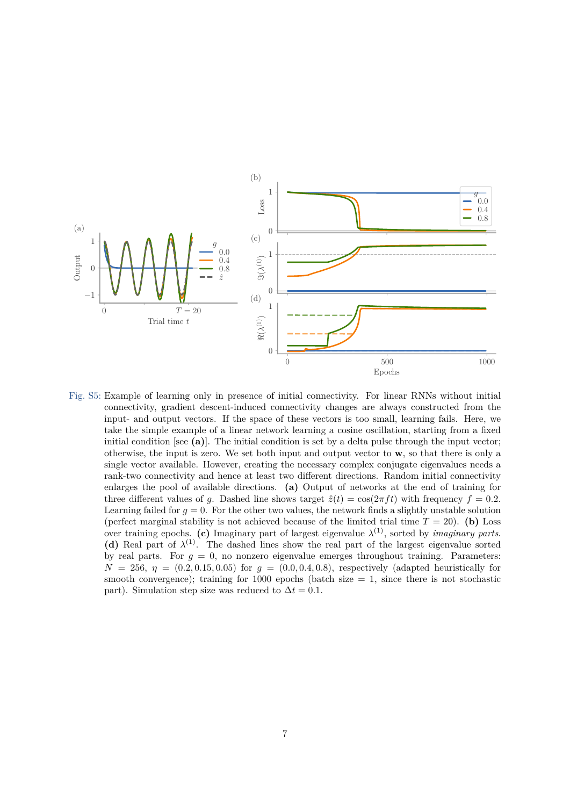

Fig. S5: Example of learning only in presence of initial connectivity. For linear RNNs without initial connectivity, gradient descent-induced connectivity changes are always constructed from the input- and output vectors. If the space of these vectors is too small, learning fails. Here, we take the simple example of a linear network learning a cosine oscillation, starting from a fixed initial condition [see **(a)**]. The initial condition is set by a delta pulse through the input vector; otherwise, the input is zero. We set both input and output vector to **w**, so that there is only a single vector available. However, creating the necessary complex conjugate eigenvalues needs a rank-two connectivity and hence at least two different directions. Random initial connectivity enlarges the pool of available directions. **(a)** Output of networks at the end of training for three different values of *g*. Dashed line shows target  $\hat{z}(t) = \cos(2\pi ft)$  with frequency  $f = 0.2$ . Learning failed for  $q = 0$ . For the other two values, the network finds a slightly unstable solution (perfect marginal stability is not achieved because of the limited trial time  $T = 20$ ). (b) Loss over training epochs. (c) Imaginary part of largest eigenvalue  $\lambda^{(1)}$ , sorted by *imaginary parts*. (d) Real part of  $\lambda^{(1)}$ . The dashed lines show the real part of the largest eigenvalue sorted by real parts. For  $g = 0$ , no nonzero eigenvalue emerges throughout training. Parameters:  $N = 256, \eta = (0.2, 0.15, 0.05)$  for  $g = (0.0, 0.4, 0.8)$ , respectively (adapted heuristically for smooth convergence); training for  $1000$  epochs (batch size  $= 1$ , since there is not stochastic part). Simulation step size was reduced to  $\Delta t = 0.1$ .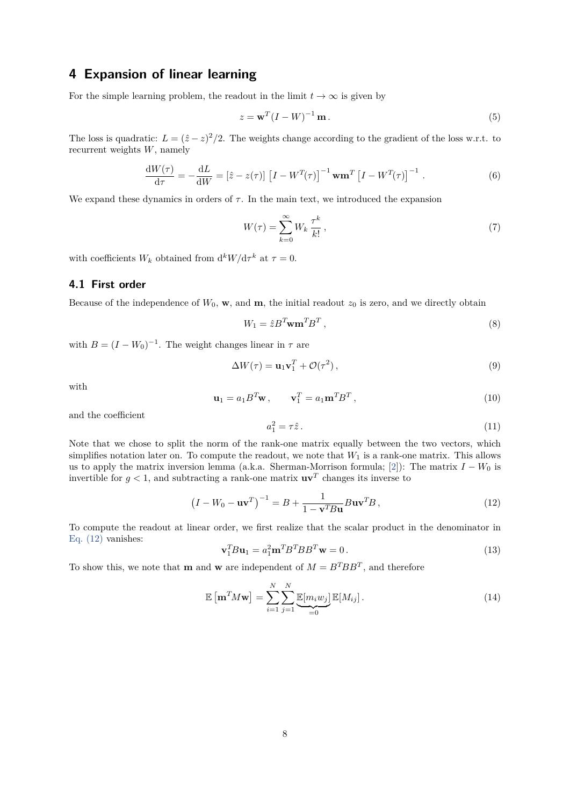### **4 Expansion of linear learning**

For the simple learning problem, the readout in the limit  $t \to \infty$  is given by

$$
z = \mathbf{w}^T (I - W)^{-1} \mathbf{m} \,. \tag{5}
$$

The loss is quadratic:  $L = (\hat{z} - z)^2/2$ . The weights change according to the gradient of the loss w.r.t. to recurrent weights *W*, namely

$$
\frac{\mathrm{d}W(\tau)}{\mathrm{d}\tau} = -\frac{\mathrm{d}L}{\mathrm{d}W} = \left[\hat{z} - z(\tau)\right] \left[I - W^{T}(\tau)\right]^{-1} \mathbf{w} \mathbf{m}^{T} \left[I - W^{T}(\tau)\right]^{-1} . \tag{6}
$$

We expand these dynamics in orders of  $\tau$ . In the main text, we introduced the expansion

$$
W(\tau) = \sum_{k=0}^{\infty} W_k \frac{\tau^k}{k!},\tag{7}
$$

with coefficients  $W_k$  obtained from  $d^k W/d\tau^k$  at  $\tau = 0$ .

### **4.1 First order**

Because of the independence of  $W_0$ , **w**, and **m**, the initial readout  $z_0$  is zero, and we directly obtain

$$
W_1 = \hat{z} B^T \mathbf{w} \mathbf{m}^T B^T , \qquad (8)
$$

with  $B = (I - W_0)^{-1}$ . The weight changes linear in  $\tau$  are

$$
\Delta W(\tau) = \mathbf{u}_1 \mathbf{v}_1^T + \mathcal{O}(\tau^2), \qquad (9)
$$

with

$$
\mathbf{u}_1 = a_1 B^T \mathbf{w}, \qquad \mathbf{v}_1^T = a_1 \mathbf{m}^T B^T,
$$
\n(10)

and the coefficient

$$
a_1^2 = \tau \hat{z} \,. \tag{11}
$$

Note that we chose to split the norm of the rank-one matrix equally between the two vectors, which simplifies notation later on. To compute the readout, we note that *W*<sup>1</sup> is a rank-one matrix. This allows us to apply the matrix inversion lemma (a.k.a. Sherman-Morrison formula; [\[2\]](#page-21-3)): The matrix  $I - W_0$  is invertible for  $g < 1$ , and subtracting a rank-one matrix  $\mathbf{u}\mathbf{v}^T$  changes its inverse to

<span id="page-7-0"></span>
$$
\left(I - W_0 - \mathbf{u}\mathbf{v}^T\right)^{-1} = B + \frac{1}{1 - \mathbf{v}^T B \mathbf{u}} B \mathbf{u}\mathbf{v}^T B,
$$
\n(12)

To compute the readout at linear order, we first realize that the scalar product in the denominator in [Eq. \(12\)](#page-7-0) vanishes:

$$
\mathbf{v}_1^T B \mathbf{u}_1 = a_1^2 \mathbf{m}^T B^T B B^T \mathbf{w} = 0.
$$
\n(13)

To show this, we note that **m** and **w** are independent of  $M = B^T B B^T$ , and therefore

$$
\mathbb{E}\left[\mathbf{m}^T M \mathbf{w}\right] = \sum_{i=1}^N \sum_{j=1}^N \underbrace{\mathbb{E}[m_i w_j]}_{=0} \mathbb{E}[M_{ij}].
$$
\n(14)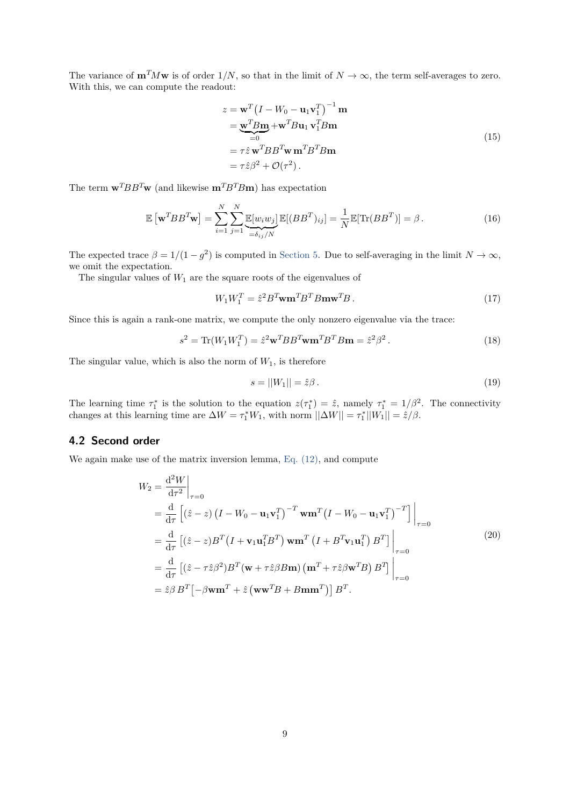The variance of  $\mathbf{m}^T M \mathbf{w}$  is of order  $1/N$ , so that in the limit of  $N \to \infty$ , the term self-averages to zero. With this, we can compute the readout:

$$
z = \mathbf{w}^T (I - W_0 - \mathbf{u}_1 \mathbf{v}_1^T)^{-1} \mathbf{m}
$$
  
\n
$$
= \underbrace{\mathbf{w}^T B \mathbf{m}}_{=0} + \mathbf{w}^T B \mathbf{u}_1 \mathbf{v}_1^T B \mathbf{m}
$$
  
\n
$$
= \tau \hat{z} \mathbf{w}^T B B^T \mathbf{w} \mathbf{m}^T B^T B \mathbf{m}
$$
  
\n
$$
= \tau \hat{z} \beta^2 + \mathcal{O}(\tau^2).
$$
 (15)

The term  $\mathbf{w}^T B B^T \mathbf{w}$  (and likewise  $\mathbf{m}^T B^T B \mathbf{m}$ ) has expectation

$$
\mathbb{E}\left[\mathbf{w}^T B B^T \mathbf{w}\right] = \sum_{i=1}^N \sum_{j=1}^N \underbrace{\mathbb{E}[w_i w_j]}_{=\delta_{ij}/N} \mathbb{E}[(B B^T)_{ij}] = \frac{1}{N} \mathbb{E}[\text{Tr}(B B^T)] = \beta.
$$
\n(16)

The expected trace  $\beta = 1/(1 - g^2)$  is computed in [Section 5.](#page-14-0) Due to self-averaging in the limit  $N \to \infty$ , we omit the expectation.

The singular values of  $W_1$  are the square roots of the eigenvalues of

$$
W_1 W_1^T = \hat{z}^2 B^T \mathbf{w} \mathbf{m}^T B^T B \mathbf{m} \mathbf{w}^T B. \tag{17}
$$

Since this is again a rank-one matrix, we compute the only nonzero eigenvalue via the trace:

$$
s2 = \text{Tr}(W1W1T) = \hat{z}2 \mathbf{w}T BBT \mathbf{w} \mathbf{m}T BT B \mathbf{m} = \hat{z}2 \beta2.
$$
 (18)

The singular value, which is also the norm of  $W_1$ , is therefore

$$
s = ||W_1|| = \hat{z}\beta. \tag{19}
$$

The learning time  $\tau_1^*$  is the solution to the equation  $z(\tau_1^*) = \hat{z}$ , namely  $\tau_1^* = 1/\beta^2$ . The connectivity changes at this learning time are  $\Delta W = \tau_1^* W_1$ , with norm  $||\Delta W|| = \tau_1^* ||W_1|| = \hat{z}/\beta$ .

#### **4.2 Second order**

<span id="page-8-0"></span>We again make use of the matrix inversion lemma, Eq.  $(12)$ , and compute

$$
W_2 = \frac{d^2 W}{d\tau^2}\Big|_{\tau=0}
$$
  
\n
$$
= \frac{d}{d\tau} \left[ (\hat{z} - z) \left( I - W_0 - \mathbf{u}_1 \mathbf{v}_1^T \right)^{-T} \mathbf{w} \mathbf{m}^T \left( I - W_0 - \mathbf{u}_1 \mathbf{v}_1^T \right)^{-T} \right] \Big|_{\tau=0}
$$
  
\n
$$
= \frac{d}{d\tau} \left[ (\hat{z} - z) B^T \left( I + \mathbf{v}_1 \mathbf{u}_1^T B^T \right) \mathbf{w} \mathbf{m}^T \left( I + B^T \mathbf{v}_1 \mathbf{u}_1^T \right) B^T \right] \Big|_{\tau=0}
$$
  
\n
$$
= \frac{d}{d\tau} \left[ (\hat{z} - \tau \hat{z}\beta^2) B^T (\mathbf{w} + \tau \hat{z}\beta B \mathbf{m}) \left( \mathbf{m}^T + \tau \hat{z}\beta \mathbf{w}^T B \right) B^T \right] \Big|_{\tau=0}
$$
  
\n
$$
= \hat{z}\beta B^T \left[ -\beta \mathbf{w} \mathbf{m}^T + \hat{z} \left( \mathbf{w} \mathbf{w}^T B + B \mathbf{m} \mathbf{m}^T \right) \right] B^T.
$$
  
\n(20)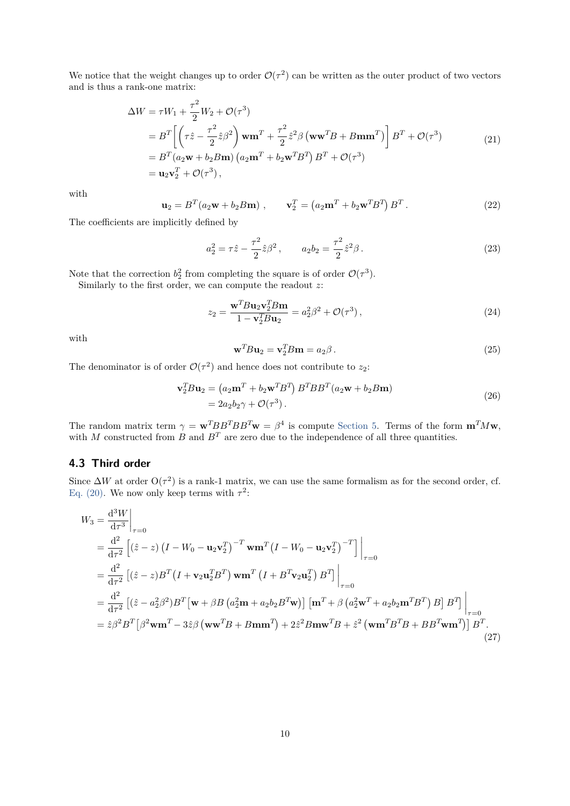We notice that the weight changes up to order  $\mathcal{O}(\tau^2)$  can be written as the outer product of two vectors and is thus a rank-one matrix:

$$
\Delta W = \tau W_1 + \frac{\tau^2}{2} W_2 + \mathcal{O}(\tau^3)
$$
  
=  $B^T \left[ \left( \tau \hat{z} - \frac{\tau^2}{2} \hat{z} \beta^2 \right) \mathbf{w} \mathbf{m}^T + \frac{\tau^2}{2} \hat{z}^2 \beta \left( \mathbf{w} \mathbf{w}^T B + B \mathbf{m} \mathbf{m}^T \right) \right] B^T + \mathcal{O}(\tau^3)$   
=  $B^T (a_2 \mathbf{w} + b_2 B \mathbf{m}) (a_2 \mathbf{m}^T + b_2 \mathbf{w}^T B^T) B^T + \mathcal{O}(\tau^3)$   
=  $\mathbf{u}_2 \mathbf{v}_2^T + \mathcal{O}(\tau^3),$  (21)

with

$$
\mathbf{u}_2 = B^T (a_2 \mathbf{w} + b_2 B \mathbf{m}), \qquad \mathbf{v}_2^T = (a_2 \mathbf{m}^T + b_2 \mathbf{w}^T B^T) B^T.
$$
 (22)

The coefficients are implicitly defined by

$$
a_2^2 = \tau \hat{z} - \frac{\tau^2}{2} \hat{z} \beta^2, \qquad a_2 b_2 = \frac{\tau^2}{2} \hat{z}^2 \beta. \tag{23}
$$

Note that the correction  $b_2^2$  from completing the square is of order  $\mathcal{O}(\tau^3)$ .

Similarly to the first order, we can compute the readout *z*:

$$
z_2 = \frac{\mathbf{w}^T B \mathbf{u}_2 \mathbf{v}_2^T B \mathbf{m}}{1 - \mathbf{v}_2^T B \mathbf{u}_2} = a_2^2 \beta^2 + \mathcal{O}(\tau^3),\tag{24}
$$

with

$$
\mathbf{w}^T B \mathbf{u}_2 = \mathbf{v}_2^T B \mathbf{m} = a_2 \beta. \tag{25}
$$

The denominator is of order  $\mathcal{O}(\tau^2)$  and hence does not contribute to  $z_2$ :

$$
\mathbf{v}_2^T B \mathbf{u}_2 = (a_2 \mathbf{m}^T + b_2 \mathbf{w}^T B^T) B^T B B^T (a_2 \mathbf{w} + b_2 B \mathbf{m})
$$
  
=  $2a_2 b_2 \gamma + \mathcal{O}(\tau^3)$ . (26)

The random matrix term  $\gamma = \mathbf{w}^T BB^T \mathbf{B} B^T \mathbf{w} = \beta^4$  is compute [Section 5.](#page-14-0) Terms of the form  $\mathbf{m}^T M \mathbf{w}$ , with *M* constructed from *B* and  $B<sup>T</sup>$  are zero due to the independence of all three quantities.

#### **4.3 Third order**

Since  $\Delta W$  at order  $O(\tau^2)$  is a rank-1 matrix, we can use the same formalism as for the second order, cf. [Eq. \(20\).](#page-8-0) We now only keep terms with  $\tau^2$ :

$$
W_3 = \frac{d^3 W}{d\tau^3}\Big|_{\tau=0}
$$
  
=  $\frac{d^2}{d\tau^2} \Big[ (\hat{z} - z) (I - W_0 - \mathbf{u}_2 \mathbf{v}_2^T)^{-T} \mathbf{w} \mathbf{m}^T (I - W_0 - \mathbf{u}_2 \mathbf{v}_2^T)^{-T} \Big] \Big|_{\tau=0}$   
=  $\frac{d^2}{d\tau^2} \Big[ (\hat{z} - z) B^T (I + \mathbf{v}_2 \mathbf{u}_2^T B^T) \mathbf{w} \mathbf{m}^T (I + B^T \mathbf{v}_2 \mathbf{u}_2^T) B^T \Big] \Big|_{\tau=0}$   
=  $\frac{d^2}{d\tau^2} \Big[ (\hat{z} - a_2^2 \beta^2) B^T [\mathbf{w} + \beta B (a_2^2 \mathbf{m} + a_2 b_2 B^T \mathbf{w})] [\mathbf{m}^T + \beta (a_2^2 \mathbf{w}^T + a_2 b_2 \mathbf{m}^T B^T) B] B^T \Big] \Big|_{\tau=0}$   
=  $\hat{z}\beta^2 B^T [\beta^2 \mathbf{w} \mathbf{m}^T - 3\hat{z}\beta (\mathbf{w} \mathbf{w}^T B + B \mathbf{m} \mathbf{m}^T) + 2\hat{z}^2 B \mathbf{m} \mathbf{w}^T B + \hat{z}^2 (\mathbf{w} \mathbf{m}^T B^T B + B B^T \mathbf{w} \mathbf{m}^T)] B^T.$  (27)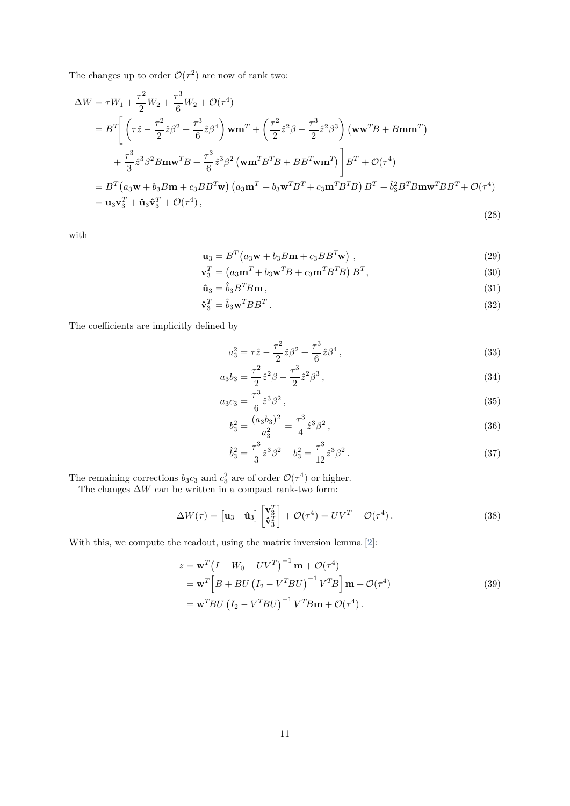The changes up to order  $\mathcal{O}(\tau^2)$  are now of rank two:

<span id="page-10-3"></span>
$$
\Delta W = \tau W_1 + \frac{\tau^2}{2} W_2 + \frac{\tau^3}{6} W_2 + \mathcal{O}(\tau^4)
$$
  
\n
$$
= B^T \left[ \left( \tau \hat{z} - \frac{\tau^2}{2} \hat{z} \beta^2 + \frac{\tau^3}{6} \hat{z} \beta^4 \right) \mathbf{w} \mathbf{m}^T + \left( \frac{\tau^2}{2} \hat{z}^2 \beta - \frac{\tau^3}{2} \hat{z}^2 \beta^3 \right) (\mathbf{w} \mathbf{w}^T B + B \mathbf{m} \mathbf{m}^T) + \frac{\tau^3}{3} \hat{z}^3 \beta^2 B \mathbf{m} \mathbf{w}^T B + \frac{\tau^3}{6} \hat{z}^3 \beta^2 (\mathbf{w} \mathbf{m}^T B^T B + B B^T \mathbf{w} \mathbf{m}^T) \right] B^T + \mathcal{O}(\tau^4)
$$
  
\n
$$
= B^T (a_3 \mathbf{w} + b_3 B \mathbf{m} + c_3 B B^T \mathbf{w}) (a_3 \mathbf{m}^T + b_3 \mathbf{w}^T B^T + c_3 \mathbf{m}^T B^T B) B^T + \hat{b}_3^2 B^T B \mathbf{m} \mathbf{w}^T B B^T + \mathcal{O}(\tau^4)
$$
  
\n
$$
= \mathbf{u}_3 \mathbf{v}_3^T + \hat{\mathbf{u}}_3 \hat{\mathbf{v}}_3^T + \mathcal{O}(\tau^4),
$$
\n(28)

with

$$
\mathbf{u}_3 = B^T \left( a_3 \mathbf{w} + b_3 B \mathbf{m} + c_3 B B^T \mathbf{w} \right) , \qquad (29)
$$

$$
\mathbf{v}_3^T = \left(a_3 \mathbf{m}^T + b_3 \mathbf{w}^T B + c_3 \mathbf{m}^T B^T B\right) B^T,\tag{30}
$$

$$
\hat{\mathbf{u}}_3 = \hat{b}_3 B^T B \mathbf{m},\tag{31}
$$

$$
\hat{\mathbf{v}}_3^T = \hat{b}_3 \mathbf{w}^T B B^T \,. \tag{32}
$$

The coefficients are implicitly defined by

<span id="page-10-1"></span>
$$
a_3^2 = \tau \hat{z} - \frac{\tau^2}{2} \hat{z} \beta^2 + \frac{\tau^3}{6} \hat{z} \beta^4,
$$
\n(33)

$$
a_3b_3 = \frac{\tau^2}{2}\hat{z}^2\beta - \frac{\tau^3}{2}\hat{z}^2\beta^3,
$$
\n(34)

$$
a_3c_3 = \frac{\tau^3}{6}\hat{z}^3\beta^2\,,\tag{35}
$$

<span id="page-10-2"></span>
$$
b_3^2 = \frac{(a_3 b_3)^2}{a_3^2} = \frac{\tau^3}{4} \hat{z}^3 \beta^2,
$$
\n(36)

$$
\hat{b}_3^2 = \frac{\tau^3}{3}\hat{z}^3\beta^2 - b_3^2 = \frac{\tau^3}{12}\hat{z}^3\beta^2.
$$
 (37)

The remaining corrections  $b_3c_3$  and  $c_3^2$  are of order  $\mathcal{O}(\tau^4)$  or higher.

The changes  $\Delta W$  can be written in a compact rank-two form:

$$
\Delta W(\tau) = \begin{bmatrix} \mathbf{u}_3 & \mathbf{\hat{u}}_3 \end{bmatrix} \begin{bmatrix} \mathbf{v}_3^T \\ \mathbf{\hat{v}}_3^T \end{bmatrix} + \mathcal{O}(\tau^4) = UV^T + \mathcal{O}(\tau^4).
$$
 (38)

<span id="page-10-0"></span>With this, we compute the readout, using the matrix inversion lemma [\[2\]](#page-21-3):

$$
z = \mathbf{w}^T \left( I - W_0 - UV^T \right)^{-1} \mathbf{m} + \mathcal{O}(\tau^4)
$$
  
=  $\mathbf{w}^T \left[ B + BU \left( I_2 - V^T B U \right)^{-1} V^T B \right] \mathbf{m} + \mathcal{O}(\tau^4)$   
=  $\mathbf{w}^T B U \left( I_2 - V^T B U \right)^{-1} V^T B \mathbf{m} + \mathcal{O}(\tau^4)$ . (39)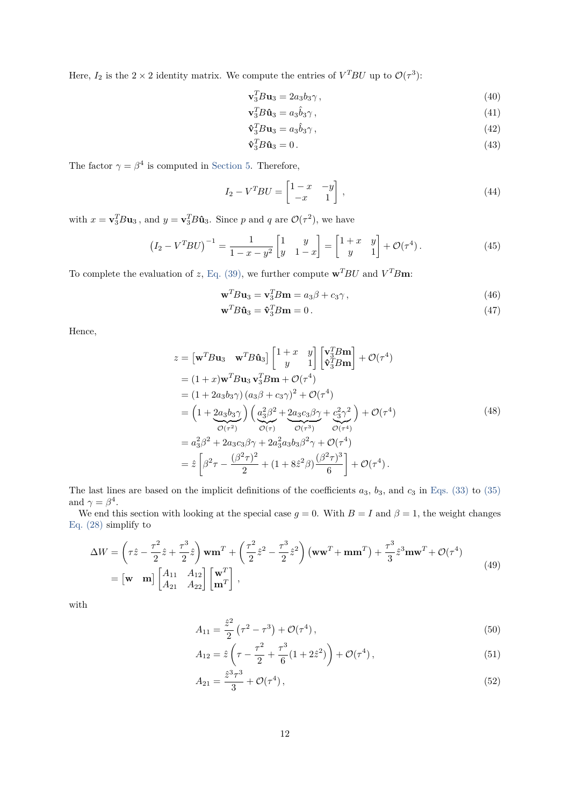Here,  $I_2$  is the  $2 \times 2$  identity matrix. We compute the entries of  $V^T B U$  up to  $\mathcal{O}(\tau^3)$ :

$$
\mathbf{v}_3^T B \mathbf{u}_3 = 2a_3 b_3 \gamma \,,\tag{40}
$$

$$
\mathbf{v}_3^T B \hat{\mathbf{u}}_3 = a_3 \hat{b}_3 \gamma \,,\tag{41}
$$

$$
\hat{\mathbf{v}}_3^T B \mathbf{u}_3 = a_3 \hat{b}_3 \gamma \,,\tag{42}
$$

$$
\hat{\mathbf{v}}_3^T B \hat{\mathbf{u}}_3 = 0. \tag{43}
$$

The factor  $\gamma = \beta^4$  is computed in [Section 5.](#page-14-0) Therefore,

$$
I_2 - V^T B U = \begin{bmatrix} 1 - x & -y \\ -x & 1 \end{bmatrix}, \tag{44}
$$

with  $x = \mathbf{v}_3^T B \mathbf{u}_3$ , and  $y = \mathbf{v}_3^T B \hat{\mathbf{u}}_3$ . Since *p* and *q* are  $\mathcal{O}(\tau^2)$ , we have

$$
(I_2 - V^T B U)^{-1} = \frac{1}{1 - x - y^2} \begin{bmatrix} 1 & y \\ y & 1 - x \end{bmatrix} = \begin{bmatrix} 1 + x & y \\ y & 1 \end{bmatrix} + \mathcal{O}(\tau^4).
$$
 (45)

To complete the evaluation of *z*, [Eq. \(39\),](#page-10-0) we further compute  $\mathbf{w}^T B U$  and  $V^T B \mathbf{m}$ :

$$
\mathbf{w}^T B \mathbf{u}_3 = \mathbf{v}_3^T B \mathbf{m} = a_3 \beta + c_3 \gamma \,,\tag{46}
$$

$$
\mathbf{w}^T B \hat{\mathbf{u}}_3 = \hat{\mathbf{v}}_3^T B \mathbf{m} = 0. \tag{47}
$$

<span id="page-11-0"></span>Hence,

$$
z = [\mathbf{w}^T B \mathbf{u}_3 \quad \mathbf{w}^T B \hat{\mathbf{u}}_3] \begin{bmatrix} 1+x & y \\ y & 1 \end{bmatrix} \begin{bmatrix} \mathbf{v}_3^T B \mathbf{m} \\ \hat{\mathbf{v}}_3^T B \mathbf{m} \end{bmatrix} + \mathcal{O}(\tau^4)
$$
  
\n
$$
= (1+x)\mathbf{w}^T B \mathbf{u}_3 \mathbf{v}_3^T B \mathbf{m} + \mathcal{O}(\tau^4)
$$
  
\n
$$
= (1+2a_3b_3\gamma)(a_3\beta + c_3\gamma)^2 + \mathcal{O}(\tau^4)
$$
  
\n
$$
= \left(1+2a_3b_3\gamma\right) \left(\frac{a_3^2\beta^2 + 2a_3c_3\beta\gamma + c_3^2\gamma^2}{\mathcal{O}(\tau)}\right) + \mathcal{O}(\tau^4)
$$
  
\n
$$
= a_3^2\beta^2 + 2a_3c_3\beta\gamma + 2a_3^2a_3b_3\beta^2\gamma + \mathcal{O}(\tau^4)
$$
  
\n
$$
= \hat{z} \left[\beta^2\tau - \frac{(\beta^2\tau)^2}{2} + (1+8\hat{z}^2\beta)\frac{(\beta^2\tau)^3}{6}\right] + \mathcal{O}(\tau^4).
$$
 (48)

The last lines are based on the implicit definitions of the coefficients *a*3, *b*3, and *c*<sup>3</sup> in [Eqs. \(33\)](#page-10-1) to [\(35\)](#page-10-2) and  $\gamma = \beta^4$ .

We end this section with looking at the special case  $g = 0$ . With  $B = I$  and  $\beta = 1$ , the weight changes [Eq. \(28\)](#page-10-3) simplify to

$$
\Delta W = \left(\tau \hat{z} - \frac{\tau^2}{2} \hat{z} + \frac{\tau^3}{2} \hat{z}\right) \mathbf{w} \mathbf{m}^T + \left(\frac{\tau^2}{2} \hat{z}^2 - \frac{\tau^3}{2} \hat{z}^2\right) (\mathbf{w} \mathbf{w}^T + \mathbf{m} \mathbf{m}^T) + \frac{\tau^3}{3} \hat{z}^3 \mathbf{m} \mathbf{w}^T + \mathcal{O}(\tau^4)
$$
  
=  $[\mathbf{w} \ \mathbf{m}] \begin{bmatrix} A_{11} & A_{12} \\ A_{21} & A_{22} \end{bmatrix} \begin{bmatrix} \mathbf{w}^T \\ \mathbf{m}^T \end{bmatrix},$  (49)

with

$$
A_{11} = \frac{\hat{z}^2}{2} \left( \tau^2 - \tau^3 \right) + \mathcal{O}(\tau^4), \tag{50}
$$

$$
A_{12} = \hat{z} \left( \tau - \frac{\tau^2}{2} + \frac{\tau^3}{6} (1 + 2\hat{z}^2) \right) + \mathcal{O}(\tau^4), \tag{51}
$$

$$
A_{21} = \frac{\hat{z}^3 \tau^3}{3} + \mathcal{O}(\tau^4),\tag{52}
$$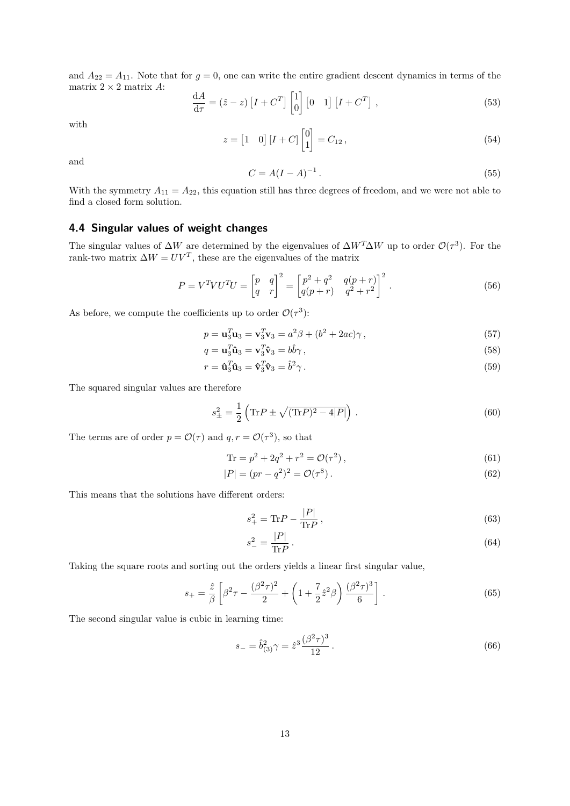and  $A_{22} = A_{11}$ . Note that for  $g = 0$ , one can write the entire gradient descent dynamics in terms of the matrix 2 × 2 matrix *A*:

$$
\frac{\mathrm{d}A}{\mathrm{d}\tau} = (\hat{z} - z) \left[ I + C^T \right] \begin{bmatrix} 1 \\ 0 \end{bmatrix} \begin{bmatrix} 0 & 1 \end{bmatrix} \begin{bmatrix} I + C^T \end{bmatrix},\tag{53}
$$

with

$$
z = \begin{bmatrix} 1 & 0 \end{bmatrix} \begin{bmatrix} I + C \end{bmatrix} \begin{bmatrix} 0 \\ 1 \end{bmatrix} = C_{12}, \tag{54}
$$

and

$$
C = A(I - A)^{-1}.
$$
\n(55)

With the symmetry  $A_{11} = A_{22}$ , this equation still has three degrees of freedom, and we were not able to find a closed form solution.

#### **4.4 Singular values of weight changes**

The singular values of  $\Delta W$  are determined by the eigenvalues of  $\Delta W^T \Delta W$  up to order  $\mathcal{O}(\tau^3)$ . For the rank-two matrix  $\Delta W = UV^T$ , these are the eigenvalues of the matrix

$$
P = V^T V U^T U = \begin{bmatrix} p & q \\ q & r \end{bmatrix}^2 = \begin{bmatrix} p^2 + q^2 & q(p+r) \\ q(p+r) & q^2 + r^2 \end{bmatrix}^2.
$$
 (56)

As before, we compute the coefficients up to order  $\mathcal{O}(\tau^3)$ :

$$
p = \mathbf{u}_3^T \mathbf{u}_3 = \mathbf{v}_3^T \mathbf{v}_3 = a^2 \beta + (b^2 + 2ac)\gamma, \qquad (57)
$$

$$
q = \mathbf{u}_3^T \mathbf{\hat{u}}_3 = \mathbf{v}_3^T \mathbf{\hat{v}}_3 = b \hat{b} \gamma \,, \tag{58}
$$

 $r = \hat{\mathbf{u}}_3^T \hat{\mathbf{u}}_3 = \hat{\mathbf{v}}_3^T \hat{\mathbf{v}}_3 = \hat{b}^2$ *γ .* (59)

The squared singular values are therefore

$$
s_{\pm}^{2} = \frac{1}{2} \left( \text{Tr} P \pm \sqrt{(\text{Tr} P)^{2} - 4|P|} \right). \tag{60}
$$

The terms are of order  $p = \mathcal{O}(\tau)$  and  $q, r = \mathcal{O}(\tau^3)$ , so that

$$
\text{Tr} = p^2 + 2q^2 + r^2 = \mathcal{O}(\tau^2),\tag{61}
$$

$$
|P| = (pr - q^2)^2 = \mathcal{O}(\tau^8).
$$
\n(62)

This means that the solutions have different orders:

$$
s_+^2 = \text{Tr}P - \frac{|P|}{\text{Tr}P},\qquad(63)
$$

$$
s_{-}^{2} = \frac{|P|}{\text{Tr}P} \,. \tag{64}
$$

Taking the square roots and sorting out the orders yields a linear first singular value,

$$
s_{+} = \frac{\hat{z}}{\beta} \left[ \beta^2 \tau - \frac{(\beta^2 \tau)^2}{2} + \left( 1 + \frac{7}{2} \hat{z}^2 \beta \right) \frac{(\beta^2 \tau)^3}{6} \right].
$$
 (65)

The second singular value is cubic in learning time:

$$
s_{-} = \hat{b}_{(3)}^{2} \gamma = \hat{z}^{3} \frac{(\beta^{2} \tau)^{3}}{12}.
$$
\n(66)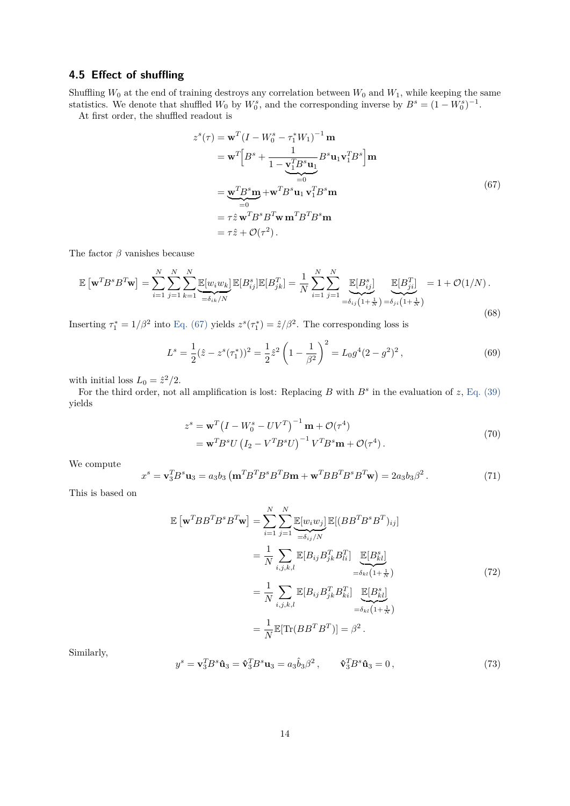#### **4.5 Effect of shuffling**

Shuffling  $W_0$  at the end of training destroys any correlation between  $W_0$  and  $W_1$ , while keeping the same statistics. We denote that shuffled  $W_0$  by  $W_0^s$ , and the corresponding inverse by  $B^s = (1 - W_0^s)^{-1}$ .

<span id="page-13-0"></span>At first order, the shuffled readout is

$$
z^{s}(\tau) = \mathbf{w}^{T} (I - W_0^s - \tau_1^* W_1)^{-1} \mathbf{m}
$$
  
\n
$$
= \mathbf{w}^{T} \Big[ B^s + \frac{1}{1 - \mathbf{v}_1^T B^s \mathbf{u}_1} B^s \mathbf{u}_1 \mathbf{v}_1^T B^s \Big] \mathbf{m}
$$
  
\n
$$
= \underbrace{\mathbf{w}^{T} B^s \mathbf{m}}_{=0} + \mathbf{w}^{T} B^s \mathbf{u}_1 \mathbf{v}_1^T B^s \mathbf{m}
$$
  
\n
$$
= \tau \hat{z} \mathbf{w}^{T} B^s B^T \mathbf{w} \mathbf{m}^{T} B^T B^s \mathbf{m}
$$
  
\n
$$
= \tau \hat{z} + \mathcal{O}(\tau^2).
$$
  
\n(67)

The factor  $\beta$  vanishes because

$$
\mathbb{E}\left[\mathbf{w}^T B^s B^T \mathbf{w}\right] = \sum_{i=1}^N \sum_{j=1}^N \sum_{k=1}^N \underbrace{\mathbb{E}[w_i w_k]}_{=\delta_{ik}/N} \mathbb{E}[B_{ij}^s] \mathbb{E}[B_{jk}^T] = \frac{1}{N} \sum_{i=1}^N \sum_{j=1}^N \underbrace{\mathbb{E}[B_{ij}^s]}_{=\delta_{ij}\left(1+\frac{1}{N}\right)} \underbrace{\mathbb{E}[B_{ji}^T]}_{=\delta_{ji}\left(1+\frac{1}{N}\right)} = 1 + \mathcal{O}(1/N). \tag{68}
$$

Inserting  $\tau_1^* = 1/\beta^2$  into [Eq. \(67\)](#page-13-0) yields  $z^s(\tau_1^*) = \hat{z}/\beta^2$ . The corresponding loss is

$$
L^s = \frac{1}{2}(\hat{z} - z^s(\tau_1^*))^2 = \frac{1}{2}\hat{z}^2 \left(1 - \frac{1}{\beta^2}\right)^2 = L_0 g^4 (2 - g^2)^2,
$$
\n(69)

with initial loss  $L_0 = \hat{z}^2/2$ .

For the third order, not all amplification is lost: Replacing  $B$  with  $B^s$  in the evaluation of  $z$ , [Eq. \(39\)](#page-10-0) yields

$$
z^s = \mathbf{w}^T \left( I - W_0^s - UV^T \right)^{-1} \mathbf{m} + \mathcal{O}(\tau^4)
$$
  
= 
$$
\mathbf{w}^T B^s U \left( I_2 - V^T B^s U \right)^{-1} V^T B^s \mathbf{m} + \mathcal{O}(\tau^4).
$$
 (70)

We compute

$$
x^s = \mathbf{v}_3^T B^s \mathbf{u}_3 = a_3 b_3 \left( \mathbf{m}^T B^T B^s B^T B \mathbf{m} + \mathbf{w}^T B B^T B^s B^T \mathbf{w} \right) = 2 a_3 b_3 \beta^2. \tag{71}
$$

This is based on

$$
\mathbb{E}\left[\mathbf{w}^T B B^T B^s B^T \mathbf{w}\right] = \sum_{i=1}^N \sum_{j=1}^N \underbrace{\mathbb{E}[w_i w_j]}_{=\delta_{ij}/N} \mathbb{E}[(B B^T B^s B^T)_{ij}]
$$
\n
$$
= \frac{1}{N} \sum_{i,j,k,l} \mathbb{E}[B_{ij} B_{jk}^T B_{li}^T] \underbrace{\mathbb{E}[B_{kl}^s]}_{=\delta_{kl}(1+\frac{1}{N})}
$$
\n
$$
= \frac{1}{N} \sum_{i,j,k,l} \mathbb{E}[B_{ij} B_{jk}^T B_{ki}^T] \underbrace{\mathbb{E}[B_{kl}^s]}_{=\delta_{kl}(1+\frac{1}{N})}
$$
\n
$$
= \frac{1}{N} \mathbb{E}[\text{Tr}(B B^T B^T)] = \beta^2.
$$
\n(72)

Similarly,

$$
y^s = \mathbf{v}_3^T B^s \hat{\mathbf{u}}_3 = \hat{\mathbf{v}}_3^T B^s \mathbf{u}_3 = a_3 \hat{b}_3 \beta^2, \qquad \hat{\mathbf{v}}_3^T B^s \hat{\mathbf{u}}_3 = 0,
$$
\n
$$
(73)
$$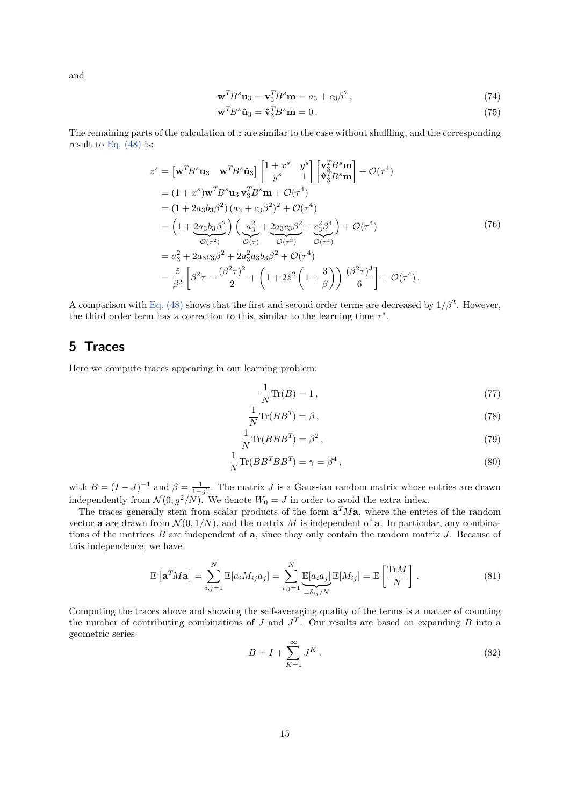and

$$
\mathbf{w}^T B^s \mathbf{u}_3 = \mathbf{v}_3^T B^s \mathbf{m} = a_3 + c_3 \beta^2, \qquad (74)
$$

$$
\mathbf{w}^T B^s \hat{\mathbf{u}}_3 = \hat{\mathbf{v}}_3^T B^s \mathbf{m} = 0.
$$
 (75)

The remaining parts of the calculation of *z* are similar to the case without shuffling, and the corresponding result to [Eq. \(48\)](#page-11-0) is:

$$
z^{s} = [\mathbf{w}^{T} B^{s} \mathbf{u}_{3} \quad \mathbf{w}^{T} B^{s} \hat{\mathbf{u}}_{3}] \begin{bmatrix} 1+x^{s} & y^{s} \\ y^{s} & 1 \end{bmatrix} \begin{bmatrix} \mathbf{v}_{3}^{T} B^{s} \mathbf{m} \\ \mathbf{\hat{v}}_{3}^{T} B^{s} \mathbf{m} \end{bmatrix} + \mathcal{O}(\tau^{4})
$$
  
\n
$$
= (1+x^{s}) \mathbf{w}^{T} B^{s} \mathbf{u}_{3} \mathbf{v}_{3}^{T} B^{s} \mathbf{m} + \mathcal{O}(\tau^{4})
$$
  
\n
$$
= (1+2a_{3}b_{3}\beta^{2}) (a_{3}+c_{3}\beta^{2})^{2} + \mathcal{O}(\tau^{4})
$$
  
\n
$$
= (1+2a_{3}b_{3}\beta^{2}) \left( \frac{a_{3}^{2}}{\alpha_{3}^{2}} + \frac{2a_{3}c_{3}\beta^{2}}{\alpha_{3}^{2}} + \frac{c_{3}^{2}\beta^{4}}{\alpha_{3}^{2}} \right) + \mathcal{O}(\tau^{4})
$$
  
\n
$$
= a_{3}^{2} + 2a_{3}c_{3}\beta^{2} + 2a_{3}^{2}a_{3}b_{3}\beta^{2} + \mathcal{O}(\tau^{4})
$$
  
\n
$$
= \frac{\hat{z}}{\beta^{2}} \left[ \beta^{2} \tau - \frac{(\beta^{2} \tau)^{2}}{2} + \left( 1 + 2\hat{z}^{2} \left( 1 + \frac{3}{\beta} \right) \right) \frac{(\beta^{2} \tau)^{3}}{6} \right] + \mathcal{O}(\tau^{4}).
$$
\n(76)

A comparison with [Eq. \(48\)](#page-11-0) shows that the first and second order terms are decreased by  $1/\beta^2$ . However, the third order term has a correction to this, similar to the learning time  $\tau^*$ .

# <span id="page-14-0"></span>**5 Traces**

Here we compute traces appearing in our learning problem:

$$
\frac{1}{N}\text{Tr}(B) = 1\,,\tag{77}
$$

$$
\frac{1}{N}\text{Tr}(BB^T) = \beta\,,\tag{78}
$$

$$
\frac{1}{N}\text{Tr}(BBB^T) = \beta^2\,,\tag{79}
$$

$$
\frac{1}{N}\text{Tr}(BB^TBB^T) = \gamma = \beta^4\,,\tag{80}
$$

with  $B = (I - J)^{-1}$  and  $\beta = \frac{1}{1 - g^2}$ . The matrix *J* is a Gaussian random matrix whose entries are drawn independently from  $\mathcal{N}(0, g^2/N)$ . We denote  $W_0 = J$  in order to avoid the extra index.

The traces generally stem from scalar products of the form  $\mathbf{a}^T M \mathbf{a}$ , where the entries of the random vector **a** are drawn from  $\mathcal{N}(0,1/N)$ , and the matrix M is independent of **a**. In particular, any combinations of the matrices *B* are independent of **a**, since they only contain the random matrix *J*. Because of this independence, we have

$$
\mathbb{E}\left[\mathbf{a}^T M \mathbf{a}\right] = \sum_{i,j=1}^N \mathbb{E}[a_i M_{ij} a_j] = \sum_{i,j=1}^N \underbrace{\mathbb{E}[a_i a_j]}_{=\delta_{ij}/N} \mathbb{E}[M_{ij}] = \mathbb{E}\left[\frac{\text{Tr}M}{N}\right].
$$
\n(81)

Computing the traces above and showing the self-averaging quality of the terms is a matter of counting the number of contributing combinations of *J* and  $J<sup>T</sup>$ . Our results are based on expanding *B* into a geometric series

$$
B = I + \sum_{K=1}^{\infty} J^K.
$$
\n
$$
(82)
$$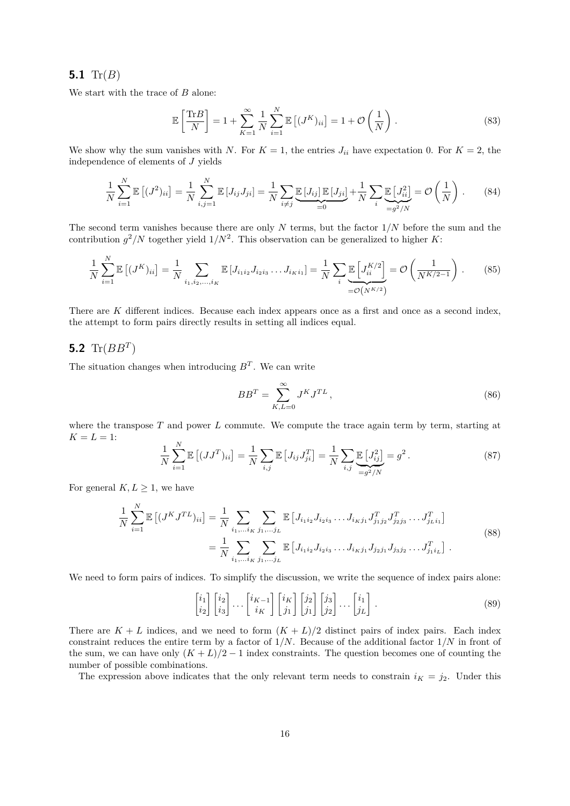#### **5.1** Tr(*B*)

We start with the trace of *B* alone:

$$
\mathbb{E}\left[\frac{\text{Tr}B}{N}\right] = 1 + \sum_{K=1}^{\infty} \frac{1}{N} \sum_{i=1}^{N} \mathbb{E}\left[(J^K)_{ii}\right] = 1 + \mathcal{O}\left(\frac{1}{N}\right). \tag{83}
$$

We show why the sum vanishes with *N*. For  $K = 1$ , the entries  $J_{ii}$  have expectation 0. For  $K = 2$ , the independence of elements of *J* yields

$$
\frac{1}{N} \sum_{i=1}^{N} \mathbb{E} \left[ (J^2)_{ii} \right] = \frac{1}{N} \sum_{i,j=1}^{N} \mathbb{E} \left[ J_{ij} J_{ji} \right] = \frac{1}{N} \sum_{i \neq j} \underbrace{\mathbb{E} \left[ J_{ij} \right] \mathbb{E} \left[ J_{ji} \right]}_{=0} + \frac{1}{N} \sum_{i} \underbrace{\mathbb{E} \left[ J_{ii}^2 \right]}_{=g^2/N} = \mathcal{O} \left( \frac{1}{N} \right). \tag{84}
$$

The second term vanishes because there are only *N* terms, but the factor 1*/N* before the sum and the contribution  $g^2/N$  together yield  $1/N^2$ . This observation can be generalized to higher *K*:

$$
\frac{1}{N} \sum_{i=1}^{N} \mathbb{E} \left[ (J^K)_{ii} \right] = \frac{1}{N} \sum_{i_1, i_2, \dots, i_K} \mathbb{E} \left[ J_{i_1 i_2} J_{i_2 i_3} \dots J_{i_K i_1} \right] = \frac{1}{N} \sum_{i} \underbrace{\mathbb{E} \left[ J_{ii}^{K/2} \right]}_{=\mathcal{O}(N^{K/2})} = \mathcal{O} \left( \frac{1}{N^{K/2 - 1}} \right). \tag{85}
$$

There are *K* different indices. Because each index appears once as a first and once as a second index, the attempt to form pairs directly results in setting all indices equal.

### <span id="page-15-0"></span>**5.2**  $\text{Tr}(BB^T)$

The situation changes when introducing  $B<sup>T</sup>$ . We can write

$$
BB^T = \sum_{K,L=0}^{\infty} J^K J^{TL},\qquad(86)
$$

where the transpose *T* and power *L* commute. We compute the trace again term by term, starting at  $K = L = 1$ :

$$
\frac{1}{N} \sum_{i=1}^{N} \mathbb{E} \left[ (JJ^T)_{ii} \right] = \frac{1}{N} \sum_{i,j} \mathbb{E} \left[ J_{ij} J_{ji}^T \right] = \frac{1}{N} \sum_{i,j} \underbrace{\mathbb{E} \left[ J_{ij}^2 \right]}_{=g^2/N} = g^2.
$$
\n(87)

For general  $K, L \geq 1$ , we have

$$
\frac{1}{N} \sum_{i=1}^{N} \mathbb{E} \left[ (J^{K} J^{TL})_{ii} \right] = \frac{1}{N} \sum_{i_1, \dots i_K} \sum_{j_1, \dots j_L} \mathbb{E} \left[ J_{i_1 i_2} J_{i_2 i_3} \dots J_{i_K j_1} J_{j_1 j_2}^T J_{j_2 j_3}^T \dots J_{j_L i_1}^T \right]
$$
\n
$$
= \frac{1}{N} \sum_{i_1, \dots i_K} \sum_{j_1, \dots j_L} \mathbb{E} \left[ J_{i_1 i_2} J_{i_2 i_3} \dots J_{i_K j_1} J_{j_2 j_1} J_{j_3 j_2} \dots J_{j_1 i_L}^T \right].
$$
\n(88)

We need to form pairs of indices. To simplify the discussion, we write the sequence of index pairs alone:

$$
\begin{bmatrix} i_1 \\ i_2 \end{bmatrix} \begin{bmatrix} i_2 \\ i_3 \end{bmatrix} \cdots \begin{bmatrix} i_{K-1} \\ i_K \end{bmatrix} \begin{bmatrix} i_K \\ j_1 \end{bmatrix} \begin{bmatrix} j_2 \\ j_1 \end{bmatrix} \begin{bmatrix} j_3 \\ j_2 \end{bmatrix} \cdots \begin{bmatrix} i_1 \\ j_L \end{bmatrix} . \tag{89}
$$

There are  $K + L$  indices, and we need to form  $(K + L)/2$  distinct pairs of index pairs. Each index constraint reduces the entire term by a factor of 1*/N*. Because of the additional factor 1*/N* in front of the sum, we can have only  $(K + L)/2 - 1$  index constraints. The question becomes one of counting the number of possible combinations.

The expression above indicates that the only relevant term needs to constrain  $i<sub>K</sub> = j<sub>2</sub>$ . Under this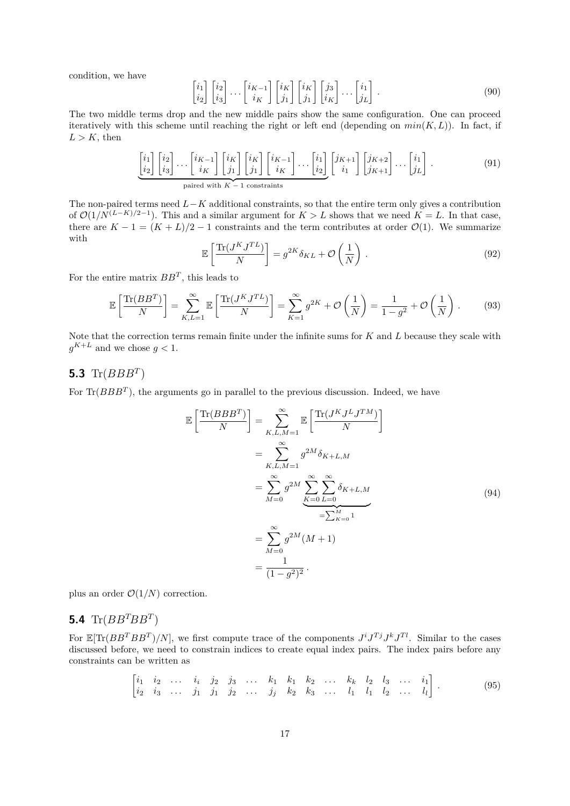condition, we have

$$
\begin{bmatrix} i_1 \\ i_2 \end{bmatrix} \begin{bmatrix} i_2 \\ i_3 \end{bmatrix} \cdots \begin{bmatrix} i_{K-1} \\ i_K \end{bmatrix} \begin{bmatrix} i_K \\ j_1 \end{bmatrix} \begin{bmatrix} i_K \\ j_1 \end{bmatrix} \begin{bmatrix} j_3 \\ i_K \end{bmatrix} \cdots \begin{bmatrix} i_1 \\ j_L \end{bmatrix} . \tag{90}
$$

The two middle terms drop and the new middle pairs show the same configuration. One can proceed iteratively with this scheme until reaching the right or left end (depending on  $min(K, L)$ ). In fact, if  $L > K$ , then

$$
\underbrace{\begin{bmatrix} i_1 \\ i_2 \end{bmatrix} \begin{bmatrix} i_2 \\ i_3 \end{bmatrix} \cdots \begin{bmatrix} i_{K-1} \\ i_K \end{bmatrix} \begin{bmatrix} i_K \\ j_1 \end{bmatrix} \begin{bmatrix} i_K \\ j_1 \end{bmatrix} \begin{bmatrix} i_{K-1} \\ i_K \end{bmatrix} \cdots \begin{bmatrix} i_1 \\ i_2 \end{bmatrix} \begin{bmatrix} j_{K+1} \\ j_1 \end{bmatrix} \begin{bmatrix} j_{K+2} \\ j_{K+1} \end{bmatrix} \cdots \begin{bmatrix} i_1 \\ j_L \end{bmatrix}.
$$
\n
$$
\underbrace{\text{paired with } K-1 \text{ constraints}}_{\text{matrix}} \tag{91}
$$

The non-paired terms need *L*−*K* additional constraints, so that the entire term only gives a contribution of  $\mathcal{O}(1/N^{(L-K)/2-1})$ . This and a similar argument for  $K > L$  shows that we need  $K = L$ . In that case, there are  $K - 1 = (K + L)/2 - 1$  constraints and the term contributes at order  $\mathcal{O}(1)$ . We summarize with

$$
\mathbb{E}\left[\frac{\text{Tr}(J^K J^{TL})}{N}\right] = g^{2K}\delta_{KL} + \mathcal{O}\left(\frac{1}{N}\right). \tag{92}
$$

For the entire matrix *BB<sup>T</sup>* , this leads to

$$
\mathbb{E}\left[\frac{\text{Tr}(BB^T)}{N}\right] = \sum_{K,L=1}^{\infty} \mathbb{E}\left[\frac{\text{Tr}(J^K J^{TL})}{N}\right] = \sum_{K=1}^{\infty} g^{2K} + \mathcal{O}\left(\frac{1}{N}\right) = \frac{1}{1 - g^2} + \mathcal{O}\left(\frac{1}{N}\right). \tag{93}
$$

Note that the correction terms remain finite under the infinite sums for *K* and *L* because they scale with  $g^{K+L}$  and we chose  $g < 1$ .

## **5.3** Tr(*BBB<sup>T</sup>* )

For  $\text{Tr}(BBB^T)$ , the arguments go in parallel to the previous discussion. Indeed, we have

$$
\mathbb{E}\left[\frac{\text{Tr}(BBB^T)}{N}\right] = \sum_{K,L,M=1}^{\infty} \mathbb{E}\left[\frac{\text{Tr}(J^KJ^LJ^{TM})}{N}\right]
$$

$$
= \sum_{K,L,M=1}^{\infty} g^{2M} \delta_{K+L,M}
$$

$$
= \sum_{M=0}^{\infty} g^{2M} \sum_{K=0}^{\infty} \sum_{L=0}^{\infty} \delta_{K+L,M}
$$
(94)
$$
= \sum_{K=0}^{\infty} g^{2M}(M+1)
$$

$$
= \frac{1}{(1-g^2)^2}.
$$

plus an order  $\mathcal{O}(1/N)$  correction.

### **5.4** Tr( $BB^TBB^T$ )

For  $\mathbb{E}[Tr(BB^TBB^T)/N]$ , we first compute trace of the components  $J^i J^{Tj} J^k J^{Tl}$ . Similar to the cases discussed before, we need to constrain indices to create equal index pairs. The index pairs before any constraints can be written as

<span id="page-16-0"></span>
$$
\begin{bmatrix} i_1 & i_2 & \dots & i_i & j_2 & j_3 & \dots & k_1 & k_1 & k_2 & \dots & k_k & l_2 & l_3 & \dots & i_1 \\ i_2 & i_3 & \dots & j_1 & j_1 & j_2 & \dots & j_j & k_2 & k_3 & \dots & l_1 & l_1 & l_2 & \dots & l_l \end{bmatrix}.
$$
 (95)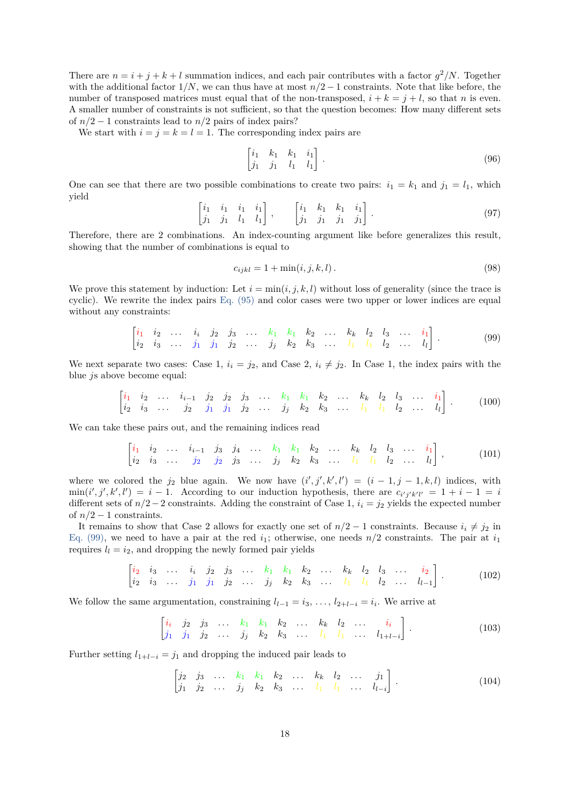There are  $n = i + j + k + l$  summation indices, and each pair contributes with a factor  $g^2/N$ . Together with the additional factor  $1/N$ , we can thus have at most  $n/2 - 1$  constraints. Note that like before, the number of transposed matrices must equal that of the non-transposed,  $i + k = j + l$ , so that *n* is even. A smaller number of constraints is not sufficient, so that the question becomes: How many different sets of  $n/2 - 1$  constraints lead to  $n/2$  pairs of index pairs?

We start with  $i = j = k = l = 1$ . The corresponding index pairs are

$$
\begin{bmatrix} i_1 & k_1 & k_1 & i_1 \\ j_1 & j_1 & l_1 & l_1 \end{bmatrix} . \tag{96}
$$

One can see that there are two possible combinations to create two pairs:  $i_1 = k_1$  and  $j_1 = l_1$ , which yield

$$
\begin{bmatrix} i_1 & i_1 & i_1 & i_1 \\ j_1 & j_1 & l_1 & l_1 \end{bmatrix}, \qquad \begin{bmatrix} i_1 & k_1 & k_1 & i_1 \\ j_1 & j_1 & j_1 & j_1 \end{bmatrix}.
$$
 (97)

Therefore, there are 2 combinations. An index-counting argument like before generalizes this result, showing that the number of combinations is equal to

$$
c_{ijkl} = 1 + \min(i, j, k, l).
$$
 (98)

We prove this statement by induction: Let  $i = \min(i, j, k, l)$  without loss of generality (since the trace is cyclic). We rewrite the index pairs [Eq. \(95\)](#page-16-0) and color cases were two upper or lower indices are equal without any constraints:

<span id="page-17-0"></span>
$$
\begin{bmatrix} i_1 & i_2 & \dots & i_i & j_2 & j_3 & \dots & k_1 & k_1 & k_2 & \dots & k_k & l_2 & l_3 & \dots & i_1 \\ i_2 & i_3 & \dots & j_1 & j_1 & j_2 & \dots & j_j & k_2 & k_3 & \dots & l_1 & l_1 & l_2 & \dots & l_l \end{bmatrix}.
$$
 (99)

We next separate two cases: Case 1,  $i_i = j_2$ , and Case 2,  $i_i \neq j_2$ . In Case 1, the index pairs with the blue *j*s above become equal:

$$
\begin{bmatrix} i_1 & i_2 & \dots & i_{i-1} & j_2 & j_2 & j_3 & \dots & k_1 & k_1 & k_2 & \dots & k_k & l_2 & l_3 & \dots & i_1 \\ i_2 & i_3 & \dots & j_2 & j_1 & j_1 & j_2 & \dots & j_j & k_2 & k_3 & \dots & l_1 & l_1 & l_2 & \dots & l_l \end{bmatrix} . \tag{100}
$$

We can take these pairs out, and the remaining indices read

$$
\begin{bmatrix} i_1 & i_2 & \dots & i_{i-1} & j_3 & j_4 & \dots & k_1 & k_1 & k_2 & \dots & k_k & l_2 & l_3 & \dots & i_1 \\ i_2 & i_3 & \dots & j_2 & j_2 & j_3 & \dots & j_j & k_2 & k_3 & \dots & l_1 & l_1 & l_2 & \dots & l_l \end{bmatrix},
$$
 (101)

where we colored the  $j_2$  blue again. We now have  $(i', j', k', l') = (i - 1, j - 1, k, l)$  indices, with  $\min(i', j', k', l') = i - 1$ . According to our induction hypothesis, there are  $c_{i'j'k'l'} = 1 + i - 1 = i$ different sets of *n/*2−2 constraints. Adding the constraint of Case 1, *i<sup>i</sup>* = *j*<sup>2</sup> yields the expected number of  $n/2-1$  constraints.

It remains to show that Case 2 allows for exactly one set of  $n/2 - 1$  constraints. Because  $i_i \neq j_2$  in [Eq. \(99\),](#page-17-0) we need to have a pair at the red  $i_1$ ; otherwise, one needs  $n/2$  constraints. The pair at  $i_1$ requires  $l_l = i_2$ , and dropping the newly formed pair yields

$$
\begin{bmatrix} i_2 & i_3 & \dots & i_i & j_2 & j_3 & \dots & k_1 & k_1 & k_2 & \dots & k_k & l_2 & l_3 & \dots & i_2 \\ i_2 & i_3 & \dots & j_1 & j_1 & j_2 & \dots & j_j & k_2 & k_3 & \dots & l_1 & l_1 & l_2 & \dots & l_{l-1} \end{bmatrix} . \tag{102}
$$

We follow the same argumentation, constraining  $l_{l-1} = i_3, \ldots, l_{2+l-i} = i_i$ . We arrive at

 $\begin{bmatrix} i_i & j_2 & j_3 & \dots & k_1 & k_1 & k_2 & \dots & k_k & l_2 & \dots & i_i \end{bmatrix}$  $j_1$   $j_1$   $j_2$   $\ldots$   $j_j$   $k_2$   $k_3$   $\ldots$   $l_1$   $l_1$   $\ldots$   $l_{1+l-i}$ 1 *.* (103)

Further setting  $l_{1+l-i} = j_1$  and dropping the induced pair leads to

<span id="page-17-1"></span>
$$
\begin{bmatrix} j_2 & j_3 & \dots & k_1 & k_1 & k_2 & \dots & k_k & l_2 & \dots & j_1 \\ j_1 & j_2 & \dots & j_j & k_2 & k_3 & \dots & l_1 & l_1 & \dots & l_{l-i} \end{bmatrix}.
$$
 (104)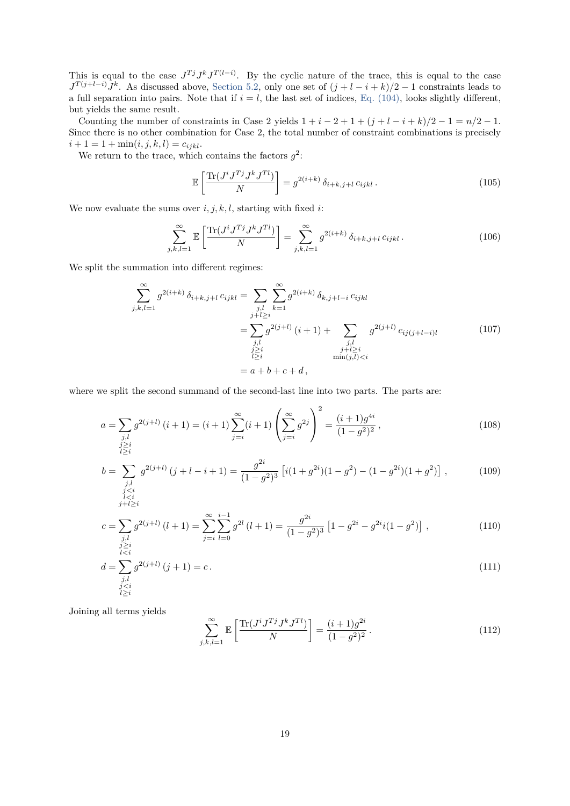This is equal to the case  $J^{Tj}J^kJ^{T(l-i)}$ . By the cyclic nature of the trace, this is equal to the case  $J^T(j+l-i)J^k$ . As discussed above, [Section 5.2,](#page-15-0) only one set of  $(j+l-i+k)/2-1$  constraints leads to a full separation into pairs. Note that if  $i = l$ , the last set of indices, [Eq. \(104\),](#page-17-1) looks slightly different, but yields the same result.

Counting the number of constraints in Case 2 yields  $1 + i - 2 + 1 + (j + i - i + k)/2 - 1 = n/2 - 1$ . Since there is no other combination for Case 2, the total number of constraint combinations is precisely  $i + 1 = 1 + min(i, j, k, l) = c_{ijkl}.$ 

We return to the trace, which contains the factors  $g^2$ :

$$
\mathbb{E}\left[\frac{\text{Tr}(J^i J^T J^k J^{Tl})}{N}\right] = g^{2(i+k)} \delta_{i+k,j+l} c_{ijkl}.
$$
\n(105)

We now evaluate the sums over  $i, j, k, l$ , starting with fixed  $i$ :

$$
\sum_{j,k,l=1}^{\infty} \mathbb{E}\left[\frac{\text{Tr}(J^{i}J^{Tj}J^{k}J^{Tl})}{N}\right] = \sum_{j,k,l=1}^{\infty} g^{2(i+k)} \,\delta_{i+k,j+l} \,c_{ijkl} \,. \tag{106}
$$

We split the summation into different regimes:

$$
\sum_{j,k,l=1}^{\infty} g^{2(i+k)} \delta_{i+k,j+l} c_{ijkl} = \sum_{\substack{j,l \ j+l \geq i}} \sum_{k=1}^{\infty} g^{2(i+k)} \delta_{k,j+l-i} c_{ijkl}
$$
\n
$$
= \sum_{\substack{j,l \ j \geq i}} g^{2(j+l)} (i+1) + \sum_{\substack{j,l \ j+l \geq i}} g^{2(j+l)} c_{ij(j+l-i)l}
$$
\n
$$
= a+b+c+d,
$$
\n(107)

where we split the second summand of the second-last line into two parts. The parts are:

$$
a = \sum_{\substack{j,l\\j\geq i\\l\geq i}} g^{2(j+l)}(i+1) = (i+1)\sum_{j=i}^{\infty} (i+1) \left(\sum_{j=i}^{\infty} g^{2j}\right)^2 = \frac{(i+1)g^{4i}}{(1-g^2)^2},\tag{108}
$$

$$
b = \sum_{\substack{j,l\\j
$$

$$
c = \sum_{\substack{j,l\\j\geq i\\l\leq i}} g^{2(j+l)}(l+1) = \sum_{j=i}^{\infty} \sum_{l=0}^{i-1} g^{2l}(l+1) = \frac{g^{2i}}{(1-g^2)^3} \left[1 - g^{2i} - g^{2i}i(1-g^2)\right],
$$
\n(110)

$$
d = \sum_{\substack{j,l\\j\n(111)
$$

Joining all terms yields

$$
\sum_{j,k,l=1}^{\infty} \mathbb{E}\left[\frac{\text{Tr}(J^{i}J^{Tj}J^{k}J^{Tl})}{N}\right] = \frac{(i+1)g^{2i}}{(1-g^{2})^{2}}.
$$
\n(112)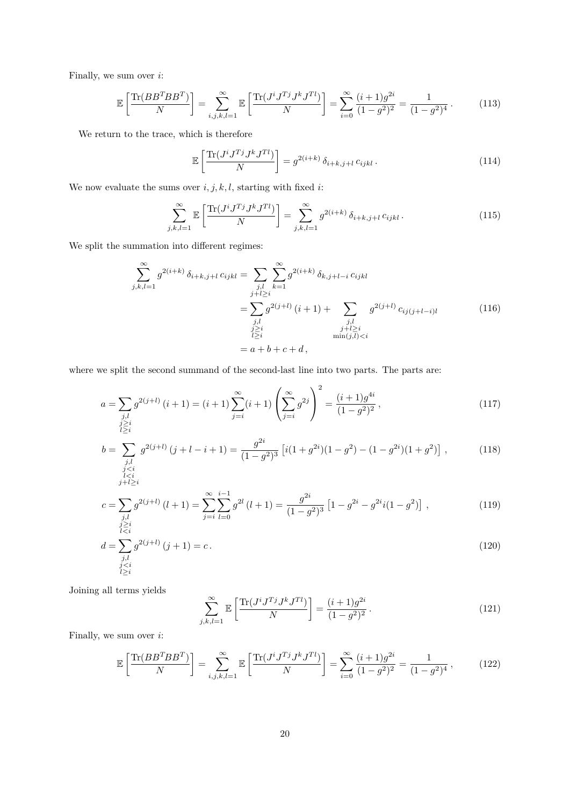Finally, we sum over *i*:

$$
\mathbb{E}\left[\frac{\text{Tr}(BB^TBB^T)}{N}\right] = \sum_{i,j,k,l=1}^{\infty} \mathbb{E}\left[\frac{\text{Tr}(J^i J^{Tj} J^k J^{Tl})}{N}\right] = \sum_{i=0}^{\infty} \frac{(i+1)g^{2i}}{(1-g^2)^2} = \frac{1}{(1-g^2)^4}.
$$
 (113)

We return to the trace, which is therefore

$$
\mathbb{E}\left[\frac{\text{Tr}(J^{i}J^{Tj}J^{k}J^{Tl})}{N}\right] = g^{2(i+k)}\,\delta_{i+k,j+l}\,c_{ijkl} \,. \tag{114}
$$

We now evaluate the sums over  $i, j, k, l$ , starting with fixed  $i$ :

$$
\sum_{j,k,l=1}^{\infty} \mathbb{E}\left[\frac{\text{Tr}(J^{i}J^{Tj}J^{k}J^{Tl})}{N}\right] = \sum_{j,k,l=1}^{\infty} g^{2(i+k)} \,\delta_{i+k,j+l} \,c_{ijkl} \,. \tag{115}
$$

We split the summation into different regimes:

$$
\sum_{j,k,l=1}^{\infty} g^{2(i+k)} \delta_{i+k,j+l} c_{ijkl} = \sum_{\substack{j,l \ j \neq l \geq i}} \sum_{k=1}^{\infty} g^{2(i+k)} \delta_{k,j+l-i} c_{ijkl}
$$
\n
$$
= \sum_{\substack{j,l \ j \geq i}} g^{2(j+l)} (i+1) + \sum_{\substack{j,l \ j \neq l \geq i}} g^{2(j+l)} c_{ij(j+l-i)l}
$$
\n
$$
= a + b + c + d,
$$
\n(116)

where we split the second summand of the second-last line into two parts. The parts are:

$$
a = \sum_{\substack{j,l\\j\geq i\\l\geq i}} g^{2(j+l)}(i+1) = (i+1)\sum_{j=i}^{\infty} (i+1) \left(\sum_{j=i}^{\infty} g^{2j}\right)^2 = \frac{(i+1)g^{4i}}{(1-g^2)^2},\tag{117}
$$

$$
b = \sum_{\substack{j,l\\ji\\j+l\geq i}} g^{2(j+l)}(j+l-i+1) = \frac{g^{2i}}{(1-g^2)^3} \left[ i(1+g^{2i})(1-g^2) - (1-g^{2i})(1+g^2) \right],\tag{118}
$$

$$
c = \sum_{\substack{j,l\\j\geq i\\l\leq i}} g^{2(j+l)}(l+1) = \sum_{j=i}^{\infty} \sum_{l=0}^{i-1} g^{2l}(l+1) = \frac{g^{2i}}{(1-g^2)^3} \left[1 - g^{2i} - g^{2i}i(1-g^2)\right],
$$
\n(119)

$$
d = \sum_{\substack{j,l\\j\n(120)
$$

Joining all terms yields

$$
\sum_{j,k,l=1}^{\infty} \mathbb{E}\left[\frac{\text{Tr}(J^{i}J^{Tj}J^{k}J^{Tl})}{N}\right] = \frac{(i+1)g^{2i}}{(1-g^{2})^{2}}.
$$
\n(121)

Finally, we sum over *i*:

$$
\mathbb{E}\left[\frac{\text{Tr}(BB^TBB^T)}{N}\right] = \sum_{i,j,k,l=1}^{\infty} \mathbb{E}\left[\frac{\text{Tr}(J^i J^{Tj} J^k J^{Tl})}{N}\right] = \sum_{i=0}^{\infty} \frac{(i+1)g^{2i}}{(1-g^2)^2} = \frac{1}{(1-g^2)^4},\tag{122}
$$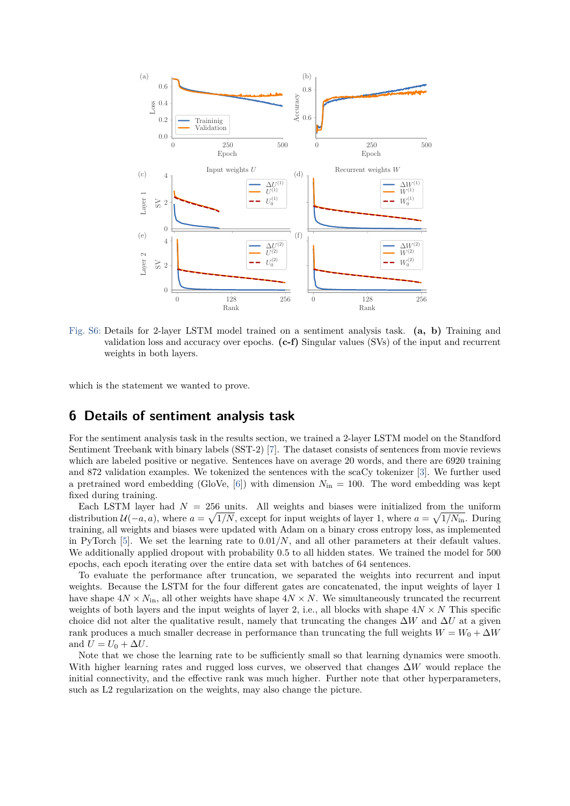

Fig. S6: Details for 2-layer LSTM model trained on a sentiment analysis task. **(a, b)** Training and validation loss and accuracy over epochs. **(c-f)** Singular values (SVs) of the input and recurrent weights in both layers.

which is the statement we wanted to prove.

# **6 Details of sentiment analysis task**

For the sentiment analysis task in the results section, we trained a 2-layer LSTM model on the Standford Sentiment Treebank with binary labels (SST-2) [\[7\]](#page-21-4). The dataset consists of sentences from movie reviews which are labeled positive or negative. Sentences have on average 20 words, and there are 6920 training and 872 validation examples. We tokenized the sentences with the scaCy tokenizer [\[3\]](#page-21-5). We further used a pretrained word embedding (GloVe,  $[6]$ ) with dimension  $N_{\text{in}} = 100$ . The word embedding was kept fixed during training.

Each LSTM layer had  $N = 256$  units. All weights and biases were initialized from the uniform distribution  $\mathcal{U}(-a, a)$ , where  $a = \sqrt{1/N}$ , except for input weights of layer 1, where  $a = \sqrt{1/N_{\text{in}}}.$  During training, all weights and biases were updated with Adam on a binary cross entropy loss, as implemented in PyTorch  $[5]$ . We set the learning rate to  $0.01/N$ , and all other parameters at their default values. We additionally applied dropout with probability 0.5 to all hidden states. We trained the model for 500 epochs, each epoch iterating over the entire data set with batches of 64 sentences.

To evaluate the performance after truncation, we separated the weights into recurrent and input weights. Because the LSTM for the four different gates are concatenated, the input weights of layer 1 have shape  $4N \times N_{\rm in}$ , all other weights have shape  $4N \times N$ . We simultaneously truncated the recurrent weights of both layers and the input weights of layer 2, i.e., all blocks with shape  $4N \times N$  This specific choice did not alter the qualitative result, namely that truncating the changes  $\Delta W$  and  $\Delta U$  at a given rank produces a much smaller decrease in performance than truncating the full weights  $W = W_0 + \Delta W$ and  $U = U_0 + \Delta U$ .

Note that we chose the learning rate to be sufficiently small so that learning dynamics were smooth. With higher learning rates and rugged loss curves, we observed that changes ∆*W* would replace the initial connectivity, and the effective rank was much higher. Further note that other hyperparameters, such as L2 regularization on the weights, may also change the picture.